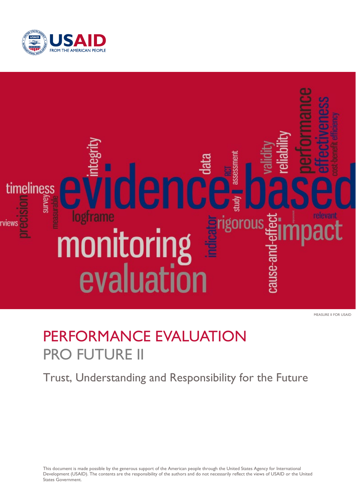



MEASURE II FOR USAID

# PERFORMANCE EVALUATION **PRO FUTURE II**

# Trust, Understanding and Responsibility for the Future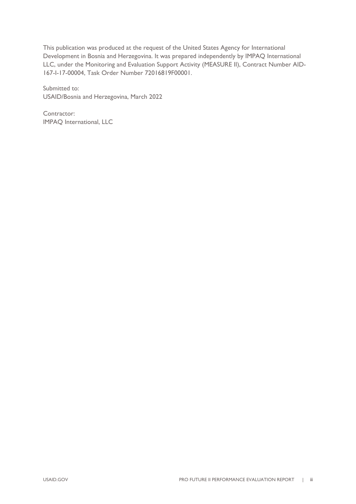This publication was produced at the request of the United States Agency for International Development in Bosnia and Herzegovina. It was prepared independently by IMPAQ International LLC, under the Monitoring and Evaluation Support Activity (MEASURE II), Contract Number AID-167-I-17-00004, Task Order Number 72016819F00001.

Submitted to: USAID/Bosnia and Herzegovina, March 2022

Contractor: IMPAQ International, LLC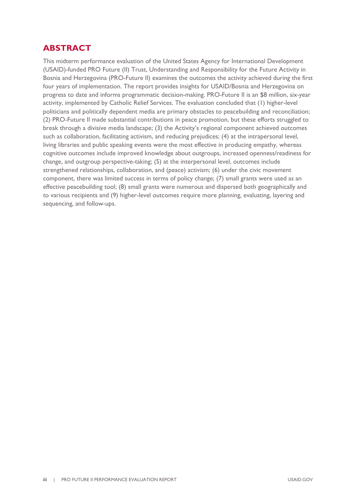# <span id="page-2-0"></span>**ABSTRACT**

This midterm performance evaluation of the United States Agency for International Development (USAID)-funded PRO Future (II) Trust, Understanding and Responsibility for the Future Activity in Bosnia and Herzegovina (PRO-Future II) examines the outcomes the activity achieved during the first four years of implementation. The report provides insights for USAID/Bosnia and Herzegovina on progress to date and informs programmatic decision-making. PRO-Future II is an \$8 million, six-year activity, implemented by Catholic Relief Services. The evaluation concluded that (1) higher-level politicians and politically dependent media are primary obstacles to peacebuilding and reconciliation; (2) PRO-Future II made substantial contributions in peace promotion, but these efforts struggled to break through a divisive media landscape; (3) the Activity's regional component achieved outcomes such as collaboration, facilitating activism, and reducing prejudices; (4) at the intrapersonal level, living libraries and public speaking events were the most effective in producing empathy, whereas cognitive outcomes include improved knowledge about outgroups, increased openness/readiness for change, and outgroup perspective-taking; (5) at the interpersonal level, outcomes include strengthened relationships, collaboration, and (peace) activism; (6) under the civic movement component, there was limited success in terms of policy change; (7) small grants were used as an effective peacebuilding tool; (8) small grants were numerous and dispersed both geographically and to various recipients and (9) higher-level outcomes require more planning, evaluating, layering and sequencing, and follow-ups.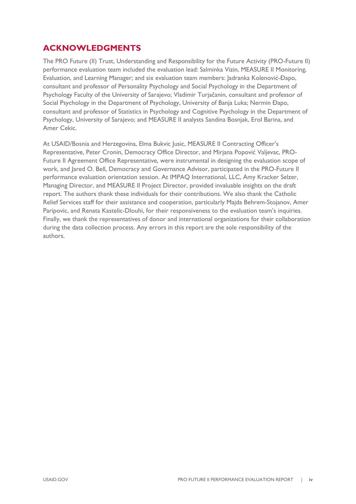# <span id="page-3-0"></span>**ACKNOWLEDGMENTS**

The PRO Future (II) Trust, Understanding and Responsibility for the Future Activity (PRO-Future II) performance evaluation team included the evaluation lead: Salminka Vizin, MEASURE II Monitoring, Evaluation, and Learning Manager; and six evaluation team members: Jadranka Kolenović-Đapo, consultant and professor of Personality Psychology and Social Psychology in the Department of Psychology Faculty of the University of Sarajevo; Vladimir Turjačanin, consultant and professor of Social Psychology in the Department of Psychology, University of Banja Luka; Nermin Đapo, consultant and professor of Statistics in Psychology and Cognitive Psychology in the Department of Psychology, University of Sarajevo; and MEASURE II analysts Sandina Bosnjak, Erol Barina, and Amer Cekic.

At USAID/Bosnia and Herzegovina, Elma Bukvic Jusic, MEASURE II Contracting Officer's Representative, Peter Cronin, Democracy Office Director, and Mirjana Popović Valjevac, PRO-Future II Agreement Office Representative, were instrumental in designing the evaluation scope of work, and Jared O. Bell, Democracy and Governance Advisor, participated in the PRO-Future II performance evaluation orientation session. At IMPAQ International, LLC, Amy Kracker Selzer, Managing Director, and MEASURE II Project Director, provided invaluable insights on the draft report. The authors thank these individuals for their contributions. We also thank the Catholic Relief Services staff for their assistance and cooperation, particularly Majda Behrem-Stojanov, Amer Paripovic, and Renata Kastelic-Dlouhi, for their responsiveness to the evaluation team's inquiries. Finally, we thank the representatives of donor and international organizations for their collaboration during the data collection process. Any errors in this report are the sole responsibility of the authors.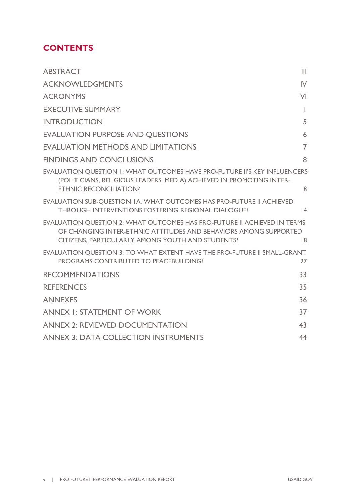# **CONTENTS**

| <b>ABSTRACT</b>                                                                                                                                                                                  | Ш              |
|--------------------------------------------------------------------------------------------------------------------------------------------------------------------------------------------------|----------------|
| <b>ACKNOWLEDGMENTS</b>                                                                                                                                                                           | $\mathsf{IV}$  |
| <b>ACRONYMS</b>                                                                                                                                                                                  | VI             |
| <b>EXECUTIVE SUMMARY</b>                                                                                                                                                                         | L              |
| <b>INTRODUCTION</b>                                                                                                                                                                              | 5              |
| <b>EVALUATION PURPOSE AND OUESTIONS</b>                                                                                                                                                          | 6              |
| <b>EVALUATION METHODS AND LIMITATIONS</b>                                                                                                                                                        | $\overline{7}$ |
| <b>FINDINGS AND CONCLUSIONS</b>                                                                                                                                                                  | 8              |
| <b>EVALUATION QUESTION 1: WHAT OUTCOMES HAVE PRO-FUTURE II'S KEY INFLUENCERS</b><br>(POLITICIANS, RELIGIOUS LEADERS, MEDIA) ACHIEVED IN PROMOTING INTER-<br><b>ETHNIC RECONCILIATION?</b>        | 8              |
| EVALUATION SUB-QUESTION IA. WHAT OUTCOMES HAS PRO-FUTURE II ACHIEVED<br>THROUGH INTERVENTIONS FOSTERING REGIONAL DIALOGUE?                                                                       | 4              |
| EVALUATION QUESTION 2: WHAT OUTCOMES HAS PRO-FUTURE II ACHIEVED IN TERMS<br>OF CHANGING INTER-ETHNIC ATTITUDES AND BEHAVIORS AMONG SUPPORTED<br>CITIZENS, PARTICULARLY AMONG YOUTH AND STUDENTS? | 8              |
| EVALUATION OUESTION 3: TO WHAT EXTENT HAVE THE PRO-FUTURE II SMALL-GRANT<br>PROGRAMS CONTRIBUTED TO PEACEBUILDING?                                                                               | 27             |
| <b>RECOMMENDATIONS</b>                                                                                                                                                                           | 33             |
| <b>REFERENCES</b>                                                                                                                                                                                | 35             |
| <b>ANNEXES</b>                                                                                                                                                                                   | 36             |
| <b>ANNEX I: STATEMENT OF WORK</b>                                                                                                                                                                | 37             |
| <b>ANNEX 2: REVIEWED DOCUMENTATION</b>                                                                                                                                                           | 43             |
| <b>ANNEX 3: DATA COLLECTION INSTRUMENTS</b>                                                                                                                                                      | 44             |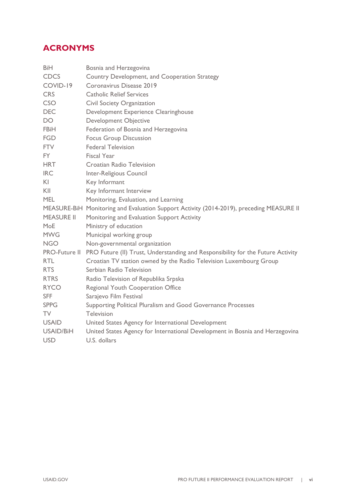# <span id="page-5-0"></span>**ACRONYMS**

| <b>BiH</b>        | Bosnia and Herzegovina                                                                   |
|-------------------|------------------------------------------------------------------------------------------|
| <b>CDCS</b>       | Country Development, and Cooperation Strategy                                            |
| COVID-19          | Coronavirus Disease 2019                                                                 |
| <b>CRS</b>        | <b>Catholic Relief Services</b>                                                          |
| CSO               | Civil Society Organization                                                               |
| <b>DEC</b>        | Development Experience Clearinghouse                                                     |
| DO.               | <b>Development Objective</b>                                                             |
| FBiH              | Federation of Bosnia and Herzegovina                                                     |
| <b>FGD</b>        | <b>Focus Group Discussion</b>                                                            |
| <b>FTV</b>        | <b>Federal Television</b>                                                                |
| <b>FY</b>         | <b>Fiscal Year</b>                                                                       |
| <b>HRT</b>        | <b>Croatian Radio Television</b>                                                         |
| <b>IRC</b>        | Inter-Religious Council                                                                  |
| KI                | Key Informant                                                                            |
| KII               | Key Informant Interview                                                                  |
| <b>MEL</b>        | Monitoring, Evaluation, and Learning                                                     |
|                   | MEASURE-BiH Monitoring and Evaluation Support Activity (2014-2019), preceding MEASURE II |
| <b>MEASURE II</b> | Monitoring and Evaluation Support Activity                                               |
| MoE               | Ministry of education                                                                    |
| <b>MWG</b>        | Municipal working group                                                                  |
| <b>NGO</b>        | Non-governmental organization                                                            |
| PRO-Future II     | PRO Future (II) Trust, Understanding and Responsibility for the Future Activity          |
| <b>RTL</b>        | Croatian TV station owned by the Radio Television Luxembourg Group                       |
| <b>RTS</b>        | Serbian Radio Television                                                                 |
| <b>RTRS</b>       | Radio Television of Republika Srpska                                                     |
| <b>RYCO</b>       | Regional Youth Cooperation Office                                                        |
| <b>SFF</b>        | Sarajevo Film Festival                                                                   |
| <b>SPPG</b>       | Supporting Political Pluralism and Good Governance Processes                             |
| <b>TV</b>         | Television                                                                               |
| <b>USAID</b>      | United States Agency for International Development                                       |
| USAID/BiH         | United States Agency for International Development in Bosnia and Herzegovina             |
| <b>USD</b>        | U.S. dollars                                                                             |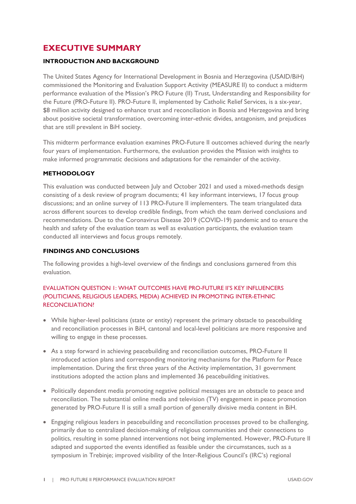# <span id="page-6-0"></span>**EXECUTIVE SUMMARY**

### **INTRODUCTION AND BACKGROUND**

The United States Agency for International Development in Bosnia and Herzegovina (USAID/BiH) commissioned the Monitoring and Evaluation Support Activity (MEASURE II) to conduct a midterm performance evaluation of the Mission's PRO Future (II) Trust, Understanding and Responsibility for the Future (PRO-Future II). PRO-Future II, implemented by Catholic Relief Services, is a six-year, \$8 million activity designed to enhance trust and reconciliation in Bosnia and Herzegovina and bring about positive societal transformation, overcoming inter-ethnic divides, antagonism, and prejudices that are still prevalent in BiH society.

This midterm performance evaluation examines PRO-Future II outcomes achieved during the nearly four years of implementation. Furthermore, the evaluation provides the Mission with insights to make informed programmatic decisions and adaptations for the remainder of the activity.

### **METHODOLOGY**

This evaluation was conducted between July and October 2021 and used a mixed-methods design consisting of a desk review of program documents; 41 key informant interviews, 17 focus group discussions; and an online survey of 113 PRO-Future II implementers. The team triangulated data across different sources to develop credible findings, from which the team derived conclusions and recommendations. Due to the Coronavirus Disease 2019 (COVID-19) pandemic and to ensure the health and safety of the evaluation team as well as evaluation participants, the evaluation team conducted all interviews and focus groups remotely.

### **FINDINGS AND CONCLUSIONS**

The following provides a high-level overview of the findings and conclusions garnered from this evaluation.

## EVALUATION QUESTION 1: WHAT OUTCOMES HAVE PRO-FUTURE II'S KEY INFLUENCERS (POLITICIANS, RELIGIOUS LEADERS, MEDIA) ACHIEVED IN PROMOTING INTER-ETHNIC RECONCILIATION?

- While higher-level politicians (state or entity) represent the primary obstacle to peacebuilding and reconciliation processes in BiH, cantonal and local-level politicians are more responsive and willing to engage in these processes.
- As a step forward in achieving peacebuilding and reconciliation outcomes, PRO-Future II introduced action plans and corresponding monitoring mechanisms for the Platform for Peace implementation. During the first three years of the Activity implementation, 31 government institutions adopted the action plans and implemented 36 peacebuilding initiatives.
- Politically dependent media promoting negative political messages are an obstacle to peace and reconciliation. The substantial online media and television (TV) engagement in peace promotion generated by PRO-Future II is still a small portion of generally divisive media content in BiH.
- Engaging religious leaders in peacebuilding and reconciliation processes proved to be challenging, primarily due to centralized decision-making of religious communities and their connections to politics, resulting in some planned interventions not being implemented. However, PRO-Future II adapted and supported the events identified as feasible under the circumstances, such as a symposium in Trebinje; improved visibility of the Inter-Religious Council's (IRC's) regional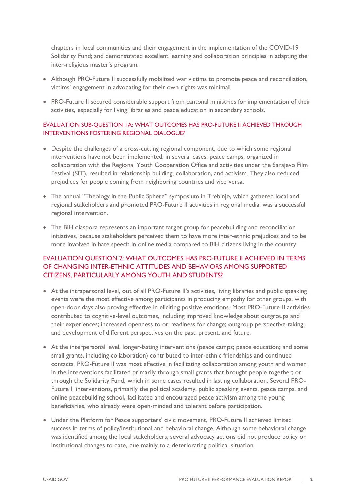chapters in local communities and their engagement in the implementation of the COVID-19 Solidarity Fund; and demonstrated excellent learning and collaboration principles in adapting the inter-religious master's program.

- Although PRO-Future II successfully mobilized war victims to promote peace and reconciliation, victims' engagement in advocating for their own rights was minimal.
- PRO-Future II secured considerable support from cantonal ministries for implementation of their activities, especially for living libraries and peace education in secondary schools.

## EVALUATION SUB-QUESTION 1A: WHAT OUTCOMES HAS PRO-FUTURE II ACHIEVED THROUGH INTERVENTIONS FOSTERING REGIONAL DIALOGUE?

- Despite the challenges of a cross-cutting regional component, due to which some regional interventions have not been implemented, in several cases, peace camps, organized in collaboration with the Regional Youth Cooperation Office and activities under the Sarajevo Film Festival (SFF), resulted in relationship building, collaboration, and activism. They also reduced prejudices for people coming from neighboring countries and vice versa.
- The annual "Theology in the Public Sphere" symposium in Trebinie, which gathered local and regional stakeholders and promoted PRO-Future II activities in regional media, was a successful regional intervention.
- The BiH diaspora represents an important target group for peacebuilding and reconciliation initiatives, because stakeholders perceived them to have more inter-ethnic prejudices and to be more involved in hate speech in online media compared to BiH citizens living in the country.

# EVALUATION QUESTION 2: WHAT OUTCOMES HAS PRO-FUTURE II ACHIEVED IN TERMS OF CHANGING INTER-ETHNIC ATTITUDES AND BEHAVIORS AMONG SUPPORTED CITIZENS, PARTICULARLY AMONG YOUTH AND STUDENTS?

- At the intrapersonal level, out of all PRO-Future II's activities, living libraries and public speaking events were the most effective among participants in producing empathy for other groups, with open-door days also proving effective in eliciting positive emotions. Most PRO-Future II activities contributed to cognitive-level outcomes, including improved knowledge about outgroups and their experiences; increased openness to or readiness for change; outgroup perspective-taking; and development of different perspectives on the past, present, and future.
- At the interpersonal level, longer-lasting interventions (peace camps; peace education; and some small grants, including collaboration) contributed to inter-ethnic friendships and continued contacts. PRO-Future II was most effective in facilitating collaboration among youth and women in the interventions facilitated primarily through small grants that brought people together; or through the Solidarity Fund, which in some cases resulted in lasting collaboration. Several PRO-Future II interventions, primarily the political academy, public speaking events, peace camps, and online peacebuilding school, facilitated and encouraged peace activism among the young beneficiaries, who already were open-minded and tolerant before participation.
- Under the Platform for Peace supporters' civic movement, PRO-Future II achieved limited success in terms of policy/institutional and behavioral change. Although some behavioral change was identified among the local stakeholders, several advocacy actions did not produce policy or institutional changes to date, due mainly to a deteriorating political situation.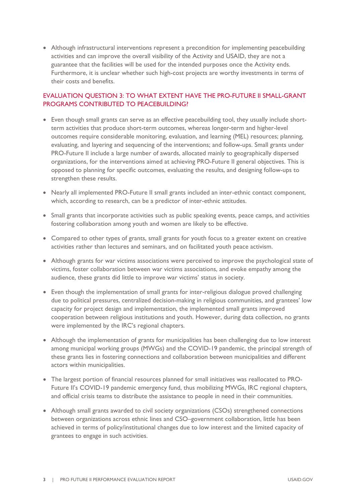• Although infrastructural interventions represent a precondition for implementing peacebuilding activities and can improve the overall visibility of the Activity and USAID, they are not a guarantee that the facilities will be used for the intended purposes once the Activity ends. Furthermore, it is unclear whether such high-cost projects are worthy investments in terms of their costs and benefits.

# EVALUATION QUESTION 3: TO WHAT EXTENT HAVE THE PRO-FUTURE II SMALL-GRANT PROGRAMS CONTRIBUTED TO PEACEBUILDING?

- Even though small grants can serve as an effective peacebuilding tool, they usually include shortterm activities that produce short-term outcomes, whereas longer-term and higher-level outcomes require considerable monitoring, evaluation, and learning (MEL) resources; planning, evaluating, and layering and sequencing of the interventions; and follow-ups. Small grants under PRO-Future II include a large number of awards, allocated mainly to geographically dispersed organizations, for the interventions aimed at achieving PRO-Future II general objectives. This is opposed to planning for specific outcomes, evaluating the results, and designing follow-ups to strengthen these results.
- Nearly all implemented PRO-Future II small grants included an inter-ethnic contact component, which, according to research, can be a predictor of inter-ethnic attitudes.
- Small grants that incorporate activities such as public speaking events, peace camps, and activities fostering collaboration among youth and women are likely to be effective.
- Compared to other types of grants, small grants for youth focus to a greater extent on creative activities rather than lectures and seminars, and on facilitated youth peace activism.
- Although grants for war victims associations were perceived to improve the psychological state of victims, foster collaboration between war victims associations, and evoke empathy among the audience, these grants did little to improve war victims' status in society.
- Even though the implementation of small grants for inter-religious dialogue proved challenging due to political pressures, centralized decision-making in religious communities, and grantees' low capacity for project design and implementation, the implemented small grants improved cooperation between religious institutions and youth. However, during data collection, no grants were implemented by the IRC's regional chapters.
- Although the implementation of grants for municipalities has been challenging due to low interest among municipal working groups (MWGs) and the COVID-19 pandemic, the principal strength of these grants lies in fostering connections and collaboration between municipalities and different actors within municipalities.
- The largest portion of financial resources planned for small initiatives was reallocated to PRO-Future II's COVID-19 pandemic emergency fund, thus mobilizing MWGs, IRC regional chapters, and official crisis teams to distribute the assistance to people in need in their communities.
- Although small grants awarded to civil society organizations (CSOs) strengthened connections between organizations across ethnic lines and CSO–government collaboration, little has been achieved in terms of policy/institutional changes due to low interest and the limited capacity of grantees to engage in such activities.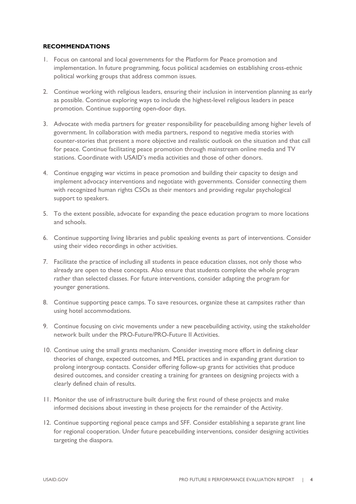### **RECOMMENDATIONS**

- 1. Focus on cantonal and local governments for the Platform for Peace promotion and implementation. In future programming, focus political academies on establishing cross-ethnic political working groups that address common issues.
- 2. Continue working with religious leaders, ensuring their inclusion in intervention planning as early as possible. Continue exploring ways to include the highest-level religious leaders in peace promotion. Continue supporting open-door days.
- 3. Advocate with media partners for greater responsibility for peacebuilding among higher levels of government. In collaboration with media partners, respond to negative media stories with counter-stories that present a more objective and realistic outlook on the situation and that call for peace. Continue facilitating peace promotion through mainstream online media and TV stations. Coordinate with USAID's media activities and those of other donors.
- 4. Continue engaging war victims in peace promotion and building their capacity to design and implement advocacy interventions and negotiate with governments. Consider connecting them with recognized human rights CSOs as their mentors and providing regular psychological support to speakers.
- 5. To the extent possible, advocate for expanding the peace education program to more locations and schools.
- 6. Continue supporting living libraries and public speaking events as part of interventions. Consider using their video recordings in other activities.
- 7. Facilitate the practice of including all students in peace education classes, not only those who already are open to these concepts. Also ensure that students complete the whole program rather than selected classes. For future interventions, consider adapting the program for younger generations.
- 8. Continue supporting peace camps. To save resources, organize these at campsites rather than using hotel accommodations.
- 9. Continue focusing on civic movements under a new peacebuilding activity, using the stakeholder network built under the PRO-Future/PRO-Future II Activities.
- 10. Continue using the small grants mechanism. Consider investing more effort in defining clear theories of change, expected outcomes, and MEL practices and in expanding grant duration to prolong intergroup contacts. Consider offering follow-up grants for activities that produce desired outcomes, and consider creating a training for grantees on designing projects with a clearly defined chain of results.
- 11. Monitor the use of infrastructure built during the first round of these projects and make informed decisions about investing in these projects for the remainder of the Activity.
- 12. Continue supporting regional peace camps and SFF. Consider establishing a separate grant line for regional cooperation. Under future peacebuilding interventions, consider designing activities targeting the diaspora.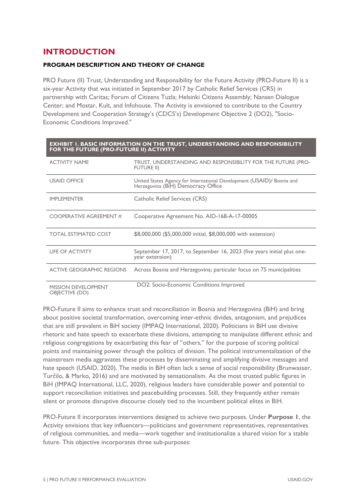# <span id="page-10-0"></span>**INTRODUCTION**

### **PROGRAM DESCRIPTION AND THEORY OF CHANGE**

PRO Future (II) Trust, Understanding and Responsibility for the Future Activity (PRO-Future II) is a six-year Activity that was initiated in September 2017 by Catholic Relief Services (CRS) in partnership with Caritas; Forum of Citizens Tuzla; Helsinki Citizens Assembly; Nansen Dialogue Center; and Mostar, Kult, and Infohouse. The Activity is envisioned to contribute to the Country Development and Cooperation Strategy's (CDCS's) Development Objective 2 (DO2), "Socio-Economic Conditions Improved."

| <b>EXHIBIT I. BASIC INFORMATION ON THE TRUST, UNDERSTANDING AND RESPONSIBILITY</b><br>FOR THE FUTURE (PRO-FUTURE II) ACTIVITY |                                                                                                              |  |  |  |
|-------------------------------------------------------------------------------------------------------------------------------|--------------------------------------------------------------------------------------------------------------|--|--|--|
| <b>ACTIVITY NAME</b>                                                                                                          | TRUST, UNDERSTANDING AND RESPONSIBILITY FOR THE FUTURE (PRO-<br>FUTURE II)                                   |  |  |  |
| <b>USAID OFFICE</b>                                                                                                           | United States Agency for International Development (USAID)/ Bosnia and<br>Herzegovina (BiH) Democracy Office |  |  |  |
| <b>IMPLEMENTER</b>                                                                                                            | Catholic Relief Services (CRS)                                                                               |  |  |  |
| COOPERATIVE AGREEMENT #                                                                                                       | Cooperative Agreement No. AID-168-A-17-00005                                                                 |  |  |  |
| <b>TOTAL ESTIMATED COST</b>                                                                                                   | \$8,000,000 (\$5,000,000 initial, \$8,000,000 with extension)                                                |  |  |  |
| <b>LIFE OF ACTIVITY</b>                                                                                                       | September 17, 2017, to September 16, 2023 (five years initial plus one-<br>year extension)                   |  |  |  |
| <b>ACTIVE GEOGRAPHIC REGIONS</b>                                                                                              | Across Bosnia and Herzegovina; particular focus on 75 municipalities                                         |  |  |  |
| <b>MISSION DEVELOPMENT</b><br>OBJECTIVE (DO)                                                                                  | DO2: Socio-Economic Conditions Improved                                                                      |  |  |  |

PRO-Future II aims to enhance trust and reconciliation in Bosnia and Herzegovina (BiH) and bring about positive societal transformation, overcoming inter-ethnic divides, antagonism, and prejudices that are still prevalent in BiH society (IMPAQ International, 2020). Politicians in BiH use divisive rhetoric and hate speech to exacerbate these divisions, attempting to manipulate different ethnic and religious congregations by exacerbating this fear of "others," for the purpose of scoring political points and maintaining power through the politics of division. The political instrumentalization of the mainstream media aggravates these processes by disseminating and amplifying divisive messages and hate speech (USAID, 2020). The media in BiH often lack a sense of social responsibility (Brunwasser, Turčilo, & Marko, 2016) and are motivated by sensationalism. As the most trusted public figures in BiH (IMPAQ International, LLC, 2020), religious leaders have considerable power and potential to support reconciliation initiatives and peacebuilding processes. Still, they frequently either remain silent or promote disruptive discourse closely tied to the incumbent political elites in BiH.

PRO-Future II incorporates interventions designed to achieve two purposes. Under **Purpose 1**, the Activity envisions that key influencers—politicians and government representatives, representatives of religious communities, and media—work together and institutionalize a shared vision for a stable future. This objective incorporates three sub-purposes: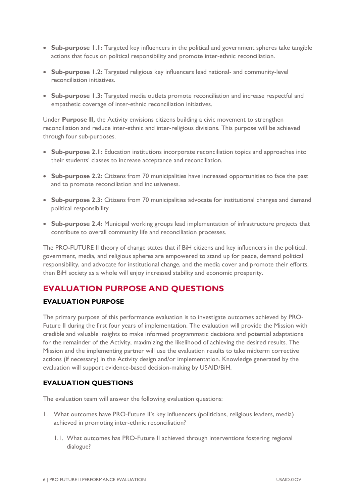- **Sub-purpose 1.1:** Targeted key influencers in the political and government spheres take tangible actions that focus on political responsibility and promote inter-ethnic reconciliation.
- **Sub-purpose 1.2:** Targeted religious key influencers lead national- and community-level reconciliation initiatives.
- **Sub-purpose 1.3:** Targeted media outlets promote reconciliation and increase respectful and empathetic coverage of inter-ethnic reconciliation initiatives.

Under **Purpose II,** the Activity envisions citizens building a civic movement to strengthen reconciliation and reduce inter-ethnic and inter-religious divisions. This purpose will be achieved through four sub-purposes.

- **Sub-purpose 2.1:** Education institutions incorporate reconciliation topics and approaches into their students' classes to increase acceptance and reconciliation.
- **Sub-purpose 2.2:** Citizens from 70 municipalities have increased opportunities to face the past and to promote reconciliation and inclusiveness.
- **Sub-purpose 2.3:** Citizens from 70 municipalities advocate for institutional changes and demand political responsibility
- **Sub-purpose 2.4:** Municipal working groups lead implementation of infrastructure projects that contribute to overall community life and reconciliation processes.

The PRO-FUTURE II theory of change states that if BiH citizens and key influencers in the political, government, media, and religious spheres are empowered to stand up for peace, demand political responsibility, and advocate for institutional change, and the media cover and promote their efforts, then BiH society as a whole will enjoy increased stability and economic prosperity.

# <span id="page-11-0"></span>**EVALUATION PURPOSE AND QUESTIONS**

# **EVALUATION PURPOSE**

The primary purpose of this performance evaluation is to investigate outcomes achieved by PRO-Future II during the first four years of implementation. The evaluation will provide the Mission with credible and valuable insights to make informed programmatic decisions and potential adaptations for the remainder of the Activity, maximizing the likelihood of achieving the desired results. The Mission and the implementing partner will use the evaluation results to take midterm corrective actions (if necessary) in the Activity design and/or implementation. Knowledge generated by the evaluation will support evidence-based decision-making by USAID/BiH.

# **EVALUATION QUESTIONS**

The evaluation team will answer the following evaluation questions:

- 1. What outcomes have PRO-Future II's key influencers (politicians, religious leaders, media) achieved in promoting inter-ethnic reconciliation?
	- 1.1. What outcomes has PRO-Future II achieved through interventions fostering regional dialogue?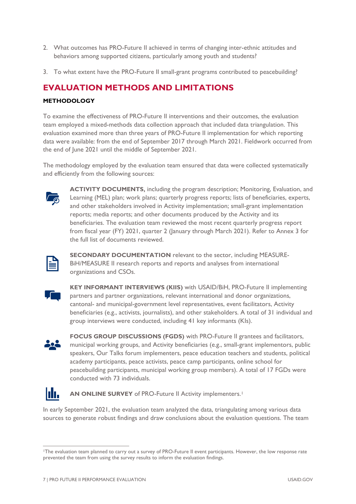- 2. What outcomes has PRO-Future II achieved in terms of changing inter-ethnic attitudes and behaviors among supported citizens, particularly among youth and students?
- 3. To what extent have the PRO-Future II small-grant programs contributed to peacebuilding?

# <span id="page-12-0"></span>**EVALUATION METHODS AND LIMITATIONS**

# **METHODOLOGY**

To examine the effectiveness of PRO-Future II interventions and their outcomes, the evaluation team employed a mixed-methods data collection approach that included data triangulation. This evaluation examined more than three years of PRO-Future II implementation for which reporting data were available: from the end of September 2017 through March 2021. Fieldwork occurred from the end of June 2021 until the middle of September 2021.

The methodology employed by the evaluation team ensured that data were collected systematically and efficiently from the following sources:



**ACTIVITY DOCUMENTS,** including the program description; Monitoring, Evaluation, and Learning (MEL) plan; work plans; quarterly progress reports; lists of beneficiaries, experts, and other stakeholders involved in Activity implementation; small-grant implementation reports; media reports; and other documents produced by the Activity and its beneficiaries. The evaluation team reviewed the most recent quarterly progress report from fiscal year (FY) 2021, quarter 2 (January through March 2021). Refer to Annex 3 for the full list of documents reviewed.



**SECONDARY DOCUMENTATION** relevant to the sector, including MEASURE-BiH/MEASURE II research reports and reports and analyses from international organizations and CSOs.



**KEY INFORMANT INTERVIEWS (KIIS)** with USAID/BiH, PRO-Future II implementing partners and partner organizations, relevant international and donor organizations, cantonal- and municipal-government level representatives, event facilitators, Activity beneficiaries (e.g., activists, journalists), and other stakeholders. A total of 31 individual and group interviews were conducted, including 41 key informants (KIs).



**FOCUS GROUP DISCUSSIONS (FGDS)** with PRO-Future II grantees and facilitators, municipal working groups, and Activity beneficiaries (e.g., small-grant implementors, public speakers, Our Talks forum implementers, peace education teachers and students, political academy participants, peace activists, peace camp participants, online school for peacebuilding participants, municipal working group members). A total of 17 FGDs were conducted with 73 individuals.



**AN ONLINE SURVEY** of PRO-Future II Activity implementers.<sup>[1](#page-12-1)</sup>

In early September 2021, the evaluation team analyzed the data, triangulating among various data sources to generate robust findings and draw conclusions about the evaluation questions. The team

<span id="page-12-1"></span><sup>1</sup>The evaluation team planned to carry out a survey of PRO-Future II event participants. However, the low response rate prevented the team from using the survey results to inform the evaluation findings.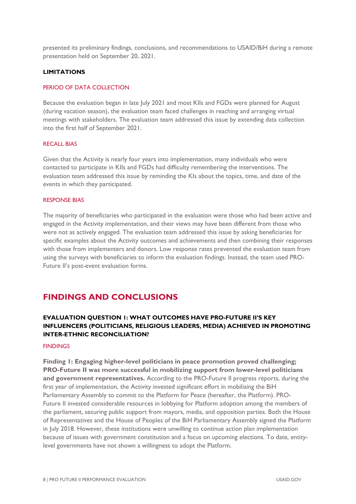presented its preliminary findings, conclusions, and recommendations to USAID/BiH during a remote presentation held on September 20, 2021.

#### **LIMITATIONS**

#### PERIOD OF DATA COLLECTION

Because the evaluation began in late July 2021 and most KIIs and FGDs were planned for August (during vacation season), the evaluation team faced challenges in reaching and arranging virtual meetings with stakeholders. The evaluation team addressed this issue by extending data collection into the first half of September 2021.

#### RECALL BIAS

Given that the Activity is nearly four years into implementation, many individuals who were contacted to participate in KIIs and FGDs had difficulty remembering the interventions. The evaluation team addressed this issue by reminding the KIs about the topics, time, and date of the events in which they participated.

#### RESPONSE BIAS

The majority of beneficiaries who participated in the evaluation were those who had been active and engaged in the Activity implementation, and their views may have been different from those who were not as actively engaged. The evaluation team addressed this issue by asking beneficiaries for specific examples about the Activity outcomes and achievements and then combining their responses with those from implementers and donors. Low response rates prevented the evaluation team from using the surveys with beneficiaries to inform the evaluation findings. Instead, the team used PRO-Future II's post-event evaluation forms.

# <span id="page-13-0"></span>**FINDINGS AND CONCLUSIONS**

# <span id="page-13-1"></span>**EVALUATION QUESTION 1: WHAT OUTCOMES HAVE PRO-FUTURE II'S KEY INFLUENCERS (POLITICIANS, RELIGIOUS LEADERS, MEDIA) ACHIEVED IN PROMOTING INTER-ETHNIC RECONCILIATION?**

#### **FINDINGS**

**Finding 1: Engaging higher-level politicians in peace promotion proved challenging; PRO-Future II was more successful in mobilizing support from lower-level politicians and government representatives.** According to the PRO-Future II progress reports, during the first year of implementation, the Activity invested significant effort in mobilizing the BiH Parliamentary Assembly to commit to the Platform for Peace (hereafter, the Platform). PRO-Future II invested considerable resources in lobbying for Platform adoption among the members of the parliament, securing public support from mayors, media, and opposition parties. Both the House of Representatives and the House of Peoples of the BiH Parliamentary Assembly signed the Platform in July 2018. However, these institutions were unwilling to continue action plan implementation because of issues with government constitution and a focus on upcoming elections. To date, entitylevel governments have not shown a willingness to adopt the Platform.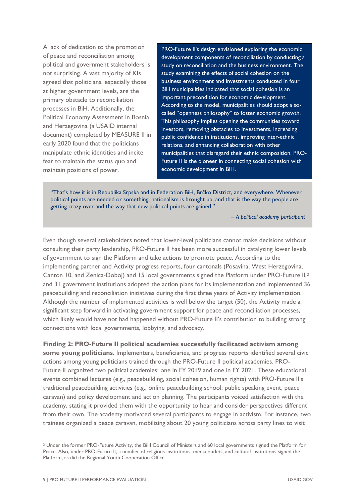A lack of dedication to the promotion of peace and reconciliation among political and government stakeholders is not surprising. A vast majority of KIs agreed that politicians, especially those at higher government levels, are the primary obstacle to reconciliation processes in BiH. Additionally, the Political Economy Assessment in Bosnia and Herzegovina (a USAID internal document) completed by MEASURE II in early 2020 found that the politicians manipulate ethnic identities and incite fear to maintain the status quo and maintain positions of power.

PRO-Future II's design envisioned exploring the economic development components of reconciliation by conducting a study on reconciliation and the business environment. The study examining the effects of social cohesion on the business environment and investments conducted in four BiH municipalities indicated that social cohesion is an important precondition for economic development. According to the model, municipalities should adopt a socalled "openness philosophy" to foster economic growth. This philosophy implies opening the communities toward investors, removing obstacles to investments, increasing public confidence in institutions, improving inter-ethnic relations, and enhancing collaboration with other municipalities that disregard their ethnic composition. PRO-Future II is the pioneer in connecting social cohesion with economic development in BiH.

"That's how it is in Republika Srpska and in Federation BiH, Brčko District, and everywhere. Whenever political points are needed or something, nationalism is brought up, and that is the way the people are getting crazy over and the way that new political points are gained."

*– A political academy participant*

Even though several stakeholders noted that lower-level politicians cannot make decisions without consulting their party leadership, PRO-Future II has been more successful in catalyzing lower levels of government to sign the Platform and take actions to promote peace. According to the implementing partner and Activity progress reports, four cantonals (Posavina, West Herzegovina, Canton 10, and Zenica-Doboj) and 15 local governments signed the Platform under PRO-Future II,[2](#page-14-0) and 31 government institutions adopted the action plans for its implementation and implemented 36 peacebuilding and reconciliation initiatives during the first three years of Activity implementation. Although the number of implemented activities is well below the target (50), the Activity made a significant step forward in activating government support for peace and reconciliation processes, which likely would have not had happened without PRO-Future II's contribution to building strong connections with local governments, lobbying, and advocacy.

**Finding 2: PRO-Future II political academies successfully facilitated activism among some young politicians.** Implementers, beneficiaries, and progress reports identified several civic actions among young politicians trained through the PRO-Future II political academies. PRO-Future II organized two political academies: one in FY 2019 and one in FY 2021. These educational events combined lectures (e.g., peacebuilding, social cohesion, human rights) with PRO-Future II's traditional peacebuilding activities (e.g., online peacebuilding school, public speaking event, peace caravan) and policy development and action planning. The participants voiced satisfaction with the academy, stating it provided them with the opportunity to hear and consider perspectives different from their own. The academy motivated several participants to engage in activism. For instance, two trainees organized a peace caravan, mobilizing about 20 young politicians across party lines to visit

<span id="page-14-0"></span><sup>2</sup> Under the former PRO-Future Activity, the BiH Council of Ministers and 60 local governments signed the Platform for Peace. Also, under PRO-Future II, a number of religious institutions, media outlets, and cultural institutions signed the Platform, as did the Regional Youth Cooperation Office.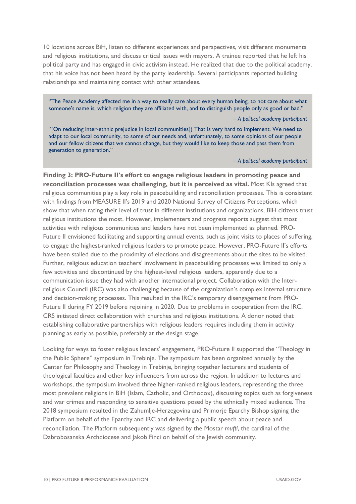10 locations across BiH, listen to different experiences and perspectives, visit different monuments and religious institutions, and discuss critical issues with mayors. A trainee reported that he left his political party and has engaged in civic activism instead. He realized that due to the political academy, that his voice has not been heard by the party leadership. Several participants reported building relationships and maintaining contact with other attendees.

"The Peace Academy affected me in a way to really care about every human being, to not care about what someone's name is, which religion they are affiliated with, and to distinguish people only as good or bad."

#### *– A political academy participant*

"[On reducing inter-ethnic prejudice in local communities]) That is very hard to implement. We need to adapt to our local community, to some of our needs and, unfortunately, to some opinions of our people and our fellow citizens that we cannot change, but they would like to keep those and pass them from generation to generation."

#### *– A political academy participant*

**Finding 3: PRO-Future II's effort to engage religious leaders in promoting peace and reconciliation processes was challenging, but it is perceived as vital.** Most KIs agreed that religious communities play a key role in peacebuilding and reconciliation processes. This is consistent with findings from MEASURE II's 2019 and 2020 National Survey of Citizens Perceptions, which show that when rating their level of trust in different institutions and organizations, BiH citizens trust religious institutions the most. However, implementers and progress reports suggest that most activities with religious communities and leaders have not been implemented as planned. PRO-Future II envisioned facilitating and supporting annual events, such as joint visits to places of suffering, to engage the highest-ranked religious leaders to promote peace. However, PRO-Future II's efforts have been stalled due to the proximity of elections and disagreements about the sites to be visited. Further, religious education teachers' involvement in peacebuilding processes was limited to only a few activities and discontinued by the highest-level religious leaders, apparently due to a communication issue they had with another international project. Collaboration with the Interreligious Council (IRC) was also challenging because of the organization's complex internal structure and decision-making processes. This resulted in the IRC's temporary disengagement from PRO-Future II during FY 2019 before rejoining in 2020. Due to problems in cooperation from the IRC, CRS initiated direct collaboration with churches and religious institutions. A donor noted that establishing collaborative partnerships with religious leaders requires including them in activity planning as early as possible, preferably at the design stage.

Looking for ways to foster religious leaders' engagement, PRO-Future II supported the "Theology in the Public Sphere" symposium in Trebinje. The symposium has been organized annually by the Center for Philosophy and Theology in Trebinje, bringing together lecturers and students of theological faculties and other key influencers from across the region. In addition to lectures and workshops, the symposium involved three higher-ranked religious leaders, representing the three most prevalent religions in BiH (Islam, Catholic, and Orthodox), discussing topics such as forgiveness and war crimes and responding to sensitive questions posed by the ethnically mixed audience. The 2018 symposium resulted in the Zahumlje-Herzegovina and Primorje Eparchy Bishop signing the Platform on behalf of the Eparchy and IRC and delivering a public speech about peace and reconciliation. The Platform subsequently was signed by the Mostar *mufti*, the cardinal of the Dabrobosanska Archdiocese and Jakob Finci on behalf of the Jewish community.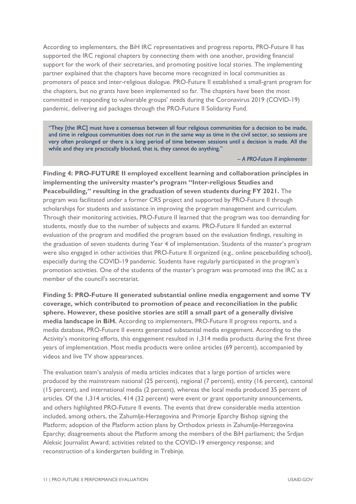According to implementers, the BiH IRC representatives and progress reports, PRO-Future II has supported the IRC regional chapters by connecting them with one another, providing financial support for the work of their secretaries, and promoting positive local stories. The implementing partner explained that the chapters have become more recognized in local communities as promoters of peace and inter-religious dialogue. PRO-Future II established a small-grant program for the chapters, but no grants have been implemented so far. The chapters have been the most committed in responding to vulnerable groups' needs during the Coronavirus 2019 (COVID-19) pandemic, delivering aid packages through the PRO-Future II Solidarity Fund.

"They [the IRC] must have a consensus between all four religious communities for a decision to be made, and time in religious communities does not run in the same way as time in the civil sector, so sessions are very often prolonged or there is a long period of time between sessions until a decision is made. All the while and they are practically blocked, that is, they cannot do anything."

*– A PRO-Future II implementer*

**Finding 4: PRO-FUTURE II employed excellent learning and collaboration principles in implementing the university master's program "Inter-religious Studies and Peacebuilding," resulting in the graduation of seven students during FY 2021.** The program was facilitated under a former CRS project and supported by PRO-Future II through scholarships for students and assistance in improving the program management and curriculum. Through their monitoring activities, PRO-Future II learned that the program was too demanding for students, mostly due to the number of subjects and exams. PRO-Future II funded an external evaluation of the program and modified the program based on the evaluation findings, resulting in the graduation of seven students during Year 4 of implementation. Students of the master's program were also engaged in other activities that PRO-Future II organized (e.g., online peacebuilding school), especially during the COVID-19 pandemic. Students have regularly participated in the program's promotion activities. One of the students of the master's program was promoted into the IRC as a member of the council's secretariat.

**Finding 5: PRO-Future II generated substantial online media engagement and some TV coverage, which contributed to promotion of peace and reconciliation in the public sphere. However, these positive stories are still a small part of a generally divisive media landscape in BiH.** According to implementers, PRO-Future II progress reports, and a media database, PRO-Future II events generated substantial media engagement. According to the Activity's monitoring efforts, this engagement resulted in 1,314 media products during the first three years of implementation. Most media products were online articles (69 percent), accompanied by videos and live TV show appearances.

The evaluation team's analysis of media articles indicates that a large portion of articles were produced by the mainstream national (25 percent), regional (7 percent), entity (16 percent), cantonal (15 percent), and international media (2 percent), whereas the local media produced 35 percent of articles. Of the 1,314 articles, 414 (32 percent) were event or grant opportunity announcements, and others highlighted PRO-Future II events. The events that drew considerable media attention included, among others, the Zahumlie-Herzegovina and Primorie Eparchy Bishop signing the Platform; adoption of the Platform action plans by Orthodox priests in Zahumlje-Herzegovina Eparchy; disagreements about the Platform among the members of the BiH parliament; the Srdjan Aleksic Journalist Award; activities related to the COVID-19 emergency response; and reconstruction of a kindergarten building in Trebinje.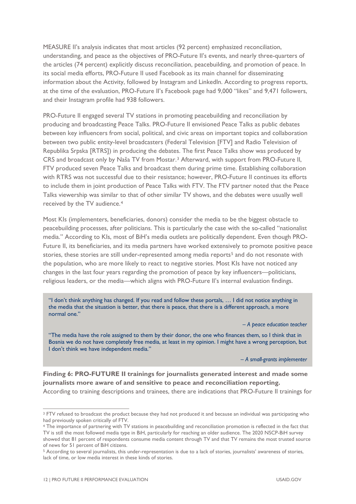MEASURE II's analysis indicates that most articles (92 percent) emphasized reconciliation, understanding, and peace as the objectives of PRO-Future II's events, and nearly three-quarters of the articles (74 percent) explicitly discuss reconciliation, peacebuilding, and promotion of peace. In its social media efforts, PRO-Future II used Facebook as its main channel for disseminating information about the Activity, followed by Instagram and LinkedIn. According to progress reports, at the time of the evaluation, PRO-Future II's Facebook page had 9,000 "likes" and 9,471 followers, and their Instagram profile had 938 followers.

PRO-Future II engaged several TV stations in promoting peacebuilding and reconciliation by producing and broadcasting Peace Talks. PRO-Future II envisioned Peace Talks as public debates between key influencers from social, political, and civic areas on important topics and collaboration between two public entity-level broadcasters (Federal Television [FTV] and Radio Television of Republika Srpska [RTRS]) in producing the debates. The first Peace Talks show was produced by CRS and broadcast only by Naša TV from Mostar.[3](#page-17-0) Afterward, with support from PRO-Future II, FTV produced seven Peace Talks and broadcast them during prime time. Establishing collaboration with RTRS was not successful due to their resistance; however, PRO-Future II continues its efforts to include them in joint production of Peace Talks with FTV. The FTV partner noted that the Peace Talks viewership was similar to that of other similar TV shows, and the debates were usually well received by the TV audience.[4](#page-17-1) 

Most KIs (implementers, beneficiaries, donors) consider the media to be the biggest obstacle to peacebuilding processes, after politicians. This is particularly the case with the so-called "nationalist media." According to KIs, most of BiH's media outlets are politically dependent. Even though PRO-Future II, its beneficiaries, and its media partners have worked extensively to promote positive peace stories, these stories are still under-represented among media reports<sup>[5](#page-17-2)</sup> and do not resonate with the population, who are more likely to react to negative stories. Most KIs have not noticed any changes in the last four years regarding the promotion of peace by key influencers—politicians, religious leaders, or the media—which aligns with PRO-Future II's internal evaluation findings.

"I don't think anything has changed. If you read and follow these portals, … I did not notice anything in the media that the situation is better, that there is peace, that there is a different approach, a more normal one."

*– A peace education teacher*

"The media have the role assigned to them by their donor, the one who finances them, so I think that in Bosnia we do not have completely free media, at least in my opinion. I might have a wrong perception, but I don't think we have independent media."

*– A small-grants implementer*

**Finding 6: PRO-FUTURE II trainings for journalists generated interest and made some journalists more aware of and sensitive to peace and reconciliation reporting.**  According to training descriptions and trainees, there are indications that PRO-Future II trainings for

<span id="page-17-0"></span><sup>3</sup> FTV refused to broadcast the product because they had not produced it and because an individual was participating who had previously spoken critically of FTV.

<span id="page-17-1"></span><sup>4</sup> The importance of partnering with TV stations in peacebuilding and reconciliation promotion is reflected in the fact that TV is still the most followed media type in BiH, particularly for reaching an older audience. The 2020 NSCP-BiH survey showed that 81 percent of respondents consume media content through TV and that TV remains the most trusted source of news for 51 percent of BiH citizens.

<span id="page-17-2"></span><sup>5</sup> According to several journalists, this under-representation is due to a lack of stories, journalists' awareness of stories, lack of time, or low media interest in these kinds of stories.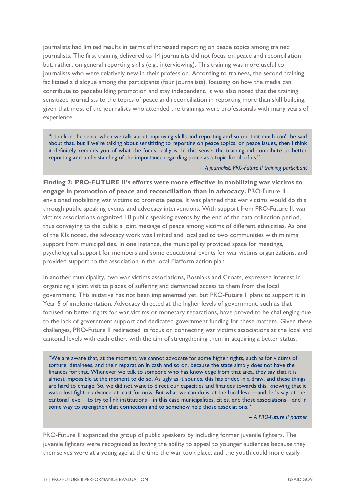journalists had limited results in terms of increased reporting on peace topics among trained journalists. The first training delivered to 14 journalists did not focus on peace and reconciliation but, rather, on general reporting skills (e.g., interviewing). This training was more useful to journalists who were relatively new in their profession. According to trainees, the second training facilitated a dialogue among the participants (four journalists), focusing on how the media can contribute to peacebuilding promotion and stay independent. It was also noted that the training sensitized journalists to the topics of peace and reconciliation in reporting more than skill building, given that most of the journalists who attended the trainings were professionals with many years of experience.

"I think in the sense when we talk about improving skills and reporting and so on, that much can't be said about that, but if we're talking about sensitizing to reporting on peace topics, on peace issues, then I think it definitely reminds you of what the focus really is. In this sense, the training did contribute to better reporting and understanding of the importance regarding peace as a topic for all of us."

*– A journalist, PRO-Future II training participant*

**Finding 7: PRO-FUTURE II's efforts were more effective in mobilizing war victims to engage in promotion of peace and reconciliation than in advocacy.** PRO-Future II envisioned mobilizing war victims to promote peace. It was planned that war victims would do this through public speaking events and advocacy interventions. With support from PRO-Future II, war victims associations organized 18 public speaking events by the end of the data collection period, thus conveying to the public a joint message of peace among victims of different ethnicities. As one of the KIs noted, the advocacy work was limited and localized to two communities with minimal support from municipalities. In one instance, the municipality provided space for meetings, psychological support for members and some educational events for war victims organizations, and provided support to the association in the local Platform action plan.

In another municipality, two war victims associations, Bosniaks and Croats, expressed interest in organizing a joint visit to places of suffering and demanded access to them from the local government. This initiative has not been implemented yet, but PRO-Future II plans to support it in Year 5 of implementation. Advocacy directed at the higher levels of government, such as that focused on better rights for war victims or monetary reparations, have proved to be challenging due to the lack of government support and dedicated government funding for these matters. Given these challenges, PRO-Future II redirected its focus on connecting war victims associations at the local and cantonal levels with each other, with the aim of strengthening them in acquiring a better status.

"We are aware that, at the moment, we cannot advocate for some higher rights, such as for victims of torture, detainees, and their reparation in cash and so on, because the state simply does not have the finances for that. Whenever we talk to someone who has knowledge from that area, they say that it is almost impossible at the moment to do so. As ugly as it sounds, this has ended in a draw, and these things are hard to change. So, we did not want to direct our capacities and finances towards this, knowing that it was a lost fight in advance, at least for now. But what we can do is, at the local level—and, let's say, at the cantonal level—to try to link institutions—in this case municipalities, cities, and those associations—and in some way to strengthen that connection and to somehow help those associations."

*– A PRO-Future II partner*

PRO-Future II expanded the group of public speakers by including former juvenile fighters. The juvenile fighters were recognized as having the ability to appeal to younger audiences because they themselves were at a young age at the time the war took place, and the youth could more easily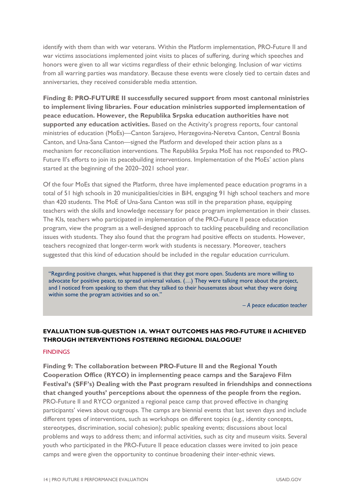identify with them than with war veterans. Within the Platform implementation, PRO-Future II and war victims associations implemented joint visits to places of suffering, during which speeches and honors were given to all war victims regardless of their ethnic belonging. Inclusion of war victims from all warring parties was mandatory. Because these events were closely tied to certain dates and anniversaries, they received considerable media attention.

**Finding 8: PRO-FUTURE II successfully secured support from most cantonal ministries to implement living libraries. Four education ministries supported implementation of peace education. However, the Republika Srpska education authorities have not supported any education activities.** Based on the Activity's progress reports, four cantonal ministries of education (MoEs)—Canton Sarajevo, Herzegovina-Neretva Canton, Central Bosnia Canton, and Una-Sana Canton—signed the Platform and developed their action plans as a mechanism for reconciliation interventions. The Republika Srpska MoE has not responded to PRO-Future II's efforts to join its peacebuilding interventions. Implementation of the MoEs' action plans started at the beginning of the 2020–2021 school year.

Of the four MoEs that signed the Platform, three have implemented peace education programs in a total of 51 high schools in 20 municipalities/cities in BiH, engaging 91 high school teachers and more than 420 students. The MoE of Una-Sana Canton was still in the preparation phase, equipping teachers with the skills and knowledge necessary for peace program implementation in their classes. The KIs, teachers who participated in implementation of the PRO-Future II peace education program, view the program as a well-designed approach to tackling peacebuilding and reconciliation issues with students. They also found that the program had positive effects on students. However, teachers recognized that longer-term work with students is necessary. Moreover, teachers suggested that this kind of education should be included in the regular education curriculum.

"Regarding positive changes, what happened is that they got more open. Students are more willing to advocate for positive peace, to spread universal values. (…) They were talking more about the project, and I noticed from speaking to them that they talked to their housemates about what they were doing within some the program activities and so on."

*– A peace education teacher*

# <span id="page-19-0"></span>**EVALUATION SUB-QUESTION 1A. WHAT OUTCOMES HAS PRO-FUTURE II ACHIEVED THROUGH INTERVENTIONS FOSTERING REGIONAL DIALOGUE?**

#### **FINDINGS**

**Finding 9: The collaboration between PRO-Future II and the Regional Youth Cooperation Office (RYCO) in implementing peace camps and the Sarajevo Film Festival's (SFF's) Dealing with the Past program resulted in friendships and connections that changed youths' perceptions about the openness of the people from the region.** PRO-Future II and RYCO organized a regional peace camp that proved effective in changing participants' views about outgroups. The camps are biennial events that last seven days and include different types of interventions, such as workshops on different topics (e.g., identity concepts, stereotypes, discrimination, social cohesion); public speaking events; discussions about local problems and ways to address them; and informal activities, such as city and museum visits. Several youth who participated in the PRO-Future II peace education classes were invited to join peace camps and were given the opportunity to continue broadening their inter-ethnic views.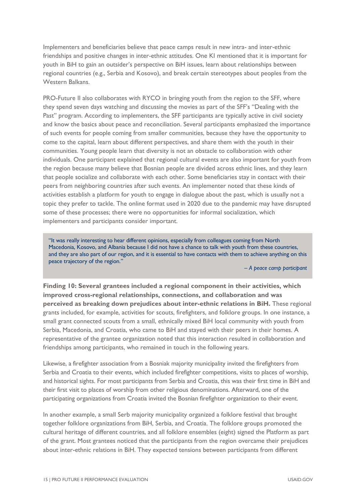Implementers and beneficiaries believe that peace camps result in new intra- and inter-ethnic friendships and positive changes in inter-ethnic attitudes. One KI mentioned that it is important for youth in BiH to gain an outsider's perspective on BiH issues, learn about relationships between regional countries (e.g., Serbia and Kosovo), and break certain stereotypes about peoples from the Western Balkans.

PRO-Future II also collaborates with RYCO in bringing youth from the region to the SFF, where they spend seven days watching and discussing the movies as part of the SFF's "Dealing with the Past" program. According to implementers, the SFF participants are typically active in civil society and know the basics about peace and reconciliation. Several participants emphasized the importance of such events for people coming from smaller communities, because they have the opportunity to come to the capital, learn about different perspectives, and share them with the youth in their communities. Young people learn that diversity is not an obstacle to collaboration with other individuals. One participant explained that regional cultural events are also important for youth from the region because many believe that Bosnian people are divided across ethnic lines, and they learn that people socialize and collaborate with each other. Some beneficiaries stay in contact with their peers from neighboring countries after such events. An implementer noted that these kinds of activities establish a platform for youth to engage in dialogue about the past, which is usually not a topic they prefer to tackle. The online format used in 2020 due to the pandemic may have disrupted some of these processes; there were no opportunities for informal socialization, which implementers and participants consider important.

"It was really interesting to hear different opinions, especially from colleagues coming from North Macedonia, Kosovo, and Albania because I did not have a chance to talk with youth from these countries, and they are also part of our region, and it is essential to have contacts with them to achieve anything on this peace trajectory of the region."

*– A peace camp participant*

**Finding 10: Several grantees included a regional component in their activities, which improved cross-regional relationships, connections, and collaboration and was perceived as breaking down prejudices about inter-ethnic relations in BiH.** These regional grants included, for example, activities for scouts, firefighters, and folklore groups. In one instance, a small grant connected scouts from a small, ethnically mixed BiH local community with youth from Serbia, Macedonia, and Croatia, who came to BiH and stayed with their peers in their homes. A representative of the grantee organization noted that this interaction resulted in collaboration and friendships among participants, who remained in touch in the following years.

Likewise, a firefighter association from a Bosniak majority municipality invited the firefighters from Serbia and Croatia to their events, which included firefighter competitions, visits to places of worship, and historical sights. For most participants from Serbia and Croatia, this was their first time in BiH and their first visit to places of worship from other religious denominations. Afterward, one of the participating organizations from Croatia invited the Bosnian firefighter organization to their event.

In another example, a small Serb majority municipality organized a folklore festival that brought together folklore organizations from BiH, Serbia, and Croatia. The folklore groups promoted the cultural heritage of different countries, and all folklore ensembles (eight) signed the Platform as part of the grant. Most grantees noticed that the participants from the region overcame their prejudices about inter-ethnic relations in BiH. They expected tensions between participants from different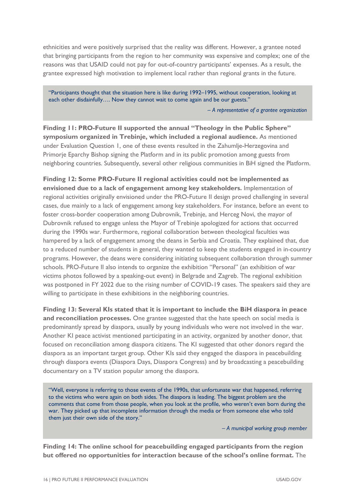ethnicities and were positively surprised that the reality was different. However, a grantee noted that bringing participants from the region to her community was expensive and complex; one of the reasons was that USAID could not pay for out-of-country participants' expenses. As a result, the grantee expressed high motivation to implement local rather than regional grants in the future.

"Participants thought that the situation here is like during 1992–1995, without cooperation, looking at each other disdainfully.... Now they cannot wait to come again and be our guests."

*– A representative of a grantee organization*

**Finding 11: PRO-Future II supported the annual "Theology in the Public Sphere" symposium organized in Trebinje, which included a regional audience.** As mentioned under Evaluation Question 1, one of these events resulted in the Zahumlje-Herzegovina and Primorje Eparchy Bishop signing the Platform and in its public promotion among guests from neighboring countries. Subsequently, several other religious communities in BiH signed the Platform.

**Finding 12: Some PRO-Future II regional activities could not be implemented as envisioned due to a lack of engagement among key stakeholders.** Implementation of regional activities originally envisioned under the PRO-Future II design proved challenging in several cases, due mainly to a lack of engagement among key stakeholders. For instance, before an event to foster cross-border cooperation among Dubrovnik, Trebinje, and Herceg Novi, the mayor of Dubrovnik refused to engage unless the Mayor of Trebinje apologized for actions that occurred during the 1990s war. Furthermore, regional collaboration between theological faculties was hampered by a lack of engagement among the deans in Serbia and Croatia. They explained that, due to a reduced number of students in general, they wanted to keep the students engaged in in-country programs. However, the deans were considering initiating subsequent collaboration through summer schools. PRO-Future II also intends to organize the exhibition "Personal" (an exhibition of war victims photos followed by a speaking-out event) in Belgrade and Zagreb. The regional exhibition was postponed in FY 2022 due to the rising number of COVID-19 cases. The speakers said they are willing to participate in these exhibitions in the neighboring countries.

**Finding 13: Several KIs stated that it is important to include the BiH diaspora in peace and reconciliation processes.** One grantee suggested that the hate speech on social media is predominantly spread by diaspora, usually by young individuals who were not involved in the war. Another KI peace activist mentioned participating in an activity, organized by another donor, that focused on reconciliation among diaspora citizens. The KI suggested that other donors regard the diaspora as an important target group. Other KIs said they engaged the diaspora in peacebuilding through diaspora events (Diaspora Days, Diaspora Congress) and by broadcasting a peacebuilding documentary on a TV station popular among the diaspora.

"Well, everyone is referring to those events of the 1990s, that unfortunate war that happened, referring to the victims who were again on both sides. The diaspora is leading. The biggest problem are the comments that come from those people, when you look at the profile, who weren't even born during the war. They picked up that incomplete information through the media or from someone else who told them just their own side of the story."

*– A municipal working group member*

**Finding 14: The online school for peacebuilding engaged participants from the region but offered no opportunities for interaction because of the school's online format.** The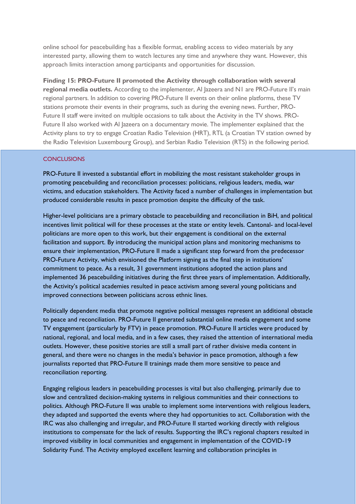online school for peacebuilding has a flexible format, enabling access to video materials by any interested party, allowing them to watch lectures any time and anywhere they want. However, this approach limits interaction among participants and opportunities for discussion.

**Finding 15: PRO-Future II promoted the Activity through collaboration with several regional media outlets.** According to the implementer, Al Jazeera and N1 are PRO-Future II's main regional partners. In addition to covering PRO-Future II events on their online platforms, these TV stations promote their events in their programs, such as during the evening news. Further, PRO-Future II staff were invited on multiple occasions to talk about the Activity in the TV shows. PRO-Future II also worked with AI Jazeera on a documentary movie. The implementer explained that the Activity plans to try to engage Croatian Radio Television (HRT), RTL (a Croatian TV station owned by the Radio Television Luxembourg Group), and Serbian Radio Television (RTS) in the following period.

#### **CONCLUSIONS**

PRO-Future II invested a substantial effort in mobilizing the most resistant stakeholder groups in promoting peacebuilding and reconciliation processes: politicians, religious leaders, media, war victims, and education stakeholders. The Activity faced a number of challenges in implementation but produced considerable results in peace promotion despite the difficulty of the task.

Higher-level politicians are a primary obstacle to peacebuilding and reconciliation in BiH, and political incentives limit political will for these processes at the state or entity levels. Cantonal- and local-level politicians are more open to this work, but their engagement is conditional on the external facilitation and support. By introducing the municipal action plans and monitoring mechanisms to ensure their implementation, PRO-Future II made a significant step forward from the predecessor PRO-Future Activity, which envisioned the Platform signing as the final step in institutions' commitment to peace. As a result, 31 government institutions adopted the action plans and implemented 36 peacebuilding initiatives during the first three years of implementation. Additionally, the Activity's political academies resulted in peace activism among several young politicians and improved connections between politicians across ethnic lines.

Politically dependent media that promote negative political messages represent an additional obstacle to peace and reconciliation. PRO-Future II generated substantial online media engagement and some TV engagement (particularly by FTV) in peace promotion. PRO-Future II articles were produced by national, regional, and local media, and in a few cases, they raised the attention of international media outlets. However, these positive stories are still a small part of rather divisive media content in general, and there were no changes in the media's behavior in peace promotion, although a few journalists reported that PRO-Future II trainings made them more sensitive to peace and reconciliation reporting.

Engaging religious leaders in peacebuilding processes is vital but also challenging, primarily due to slow and centralized decision-making systems in religious communities and their connections to politics. Although PRO-Future II was unable to implement some interventions with religious leaders, they adapted and supported the events where they had opportunities to act. Collaboration with the IRC was also challenging and irregular, and PRO-Future II started working directly with religious institutions to compensate for the lack of results. Supporting the IRC's regional chapters resulted in improved visibility in local communities and engagement in implementation of the COVID-19 Solidarity Fund. The Activity employed excellent learning and collaboration principles in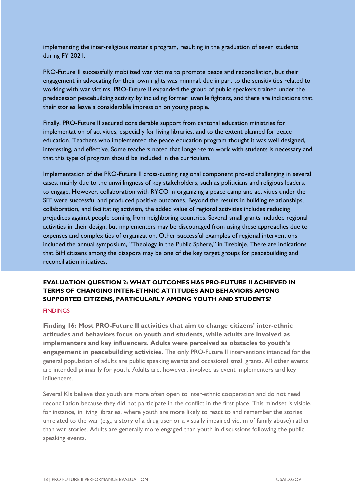implementing the inter-religious master's program, resulting in the graduation of seven students during FY 2021.

PRO-Future II successfully mobilized war victims to promote peace and reconciliation, but their engagement in advocating for their own rights was minimal, due in part to the sensitivities related to working with war victims. PRO-Future II expanded the group of public speakers trained under the predecessor peacebuilding activity by including former juvenile fighters, and there are indications that their stories leave a considerable impression on young people.

Finally, PRO-Future II secured considerable support from cantonal education ministries for implementation of activities, especially for living libraries, and to the extent planned for peace education. Teachers who implemented the peace education program thought it was well designed, interesting, and effective. Some teachers noted that longer-term work with students is necessary and that this type of program should be included in the curriculum.

Implementation of the PRO-Future II cross-cutting regional component proved challenging in several cases, mainly due to the unwillingness of key stakeholders, such as politicians and religious leaders, to engage. However, collaboration with RYCO in organizing a peace camp and activities under the SFF were successful and produced positive outcomes. Beyond the results in building relationships, collaboration, and facilitating activism, the added value of regional activities includes reducing prejudices against people coming from neighboring countries. Several small grants included regional activities in their design, but implementers may be discouraged from using these approaches due to expenses and complexities of organization. Other successful examples of regional interventions included the annual symposium, "Theology in the Public Sphere," in Trebinje. There are indications that BiH citizens among the diaspora may be one of the key target groups for peacebuilding and reconciliation initiatives.

### <span id="page-23-0"></span>**EVALUATION QUESTION 2: WHAT OUTCOMES HAS PRO-FUTURE II ACHIEVED IN TERMS OF CHANGING INTER-ETHNIC ATTITUDES AND BEHAVIORS AMONG SUPPORTED CITIZENS, PARTICULARLY AMONG YOUTH AND STUDENTS?**

#### **FINDINGS**

**Finding 16: Most PRO-Future II activities that aim to change citizens' inter-ethnic attitudes and behaviors focus on youth and students, while adults are involved as implementers and key influencers. Adults were perceived as obstacles to youth's engagement in peacebuilding activities.** The only PRO-Future II interventions intended for the general population of adults are public speaking events and occasional small grants. All other events are intended primarily for youth. Adults are, however, involved as event implementers and key influencers.

Several KIs believe that youth are more often open to inter-ethnic cooperation and do not need reconciliation because they did not participate in the conflict in the first place. This mindset is visible, for instance, in living libraries, where youth are more likely to react to and remember the stories unrelated to the war (e.g., a story of a drug user or a visually impaired victim of family abuse) rather than war stories. Adults are generally more engaged than youth in discussions following the public speaking events.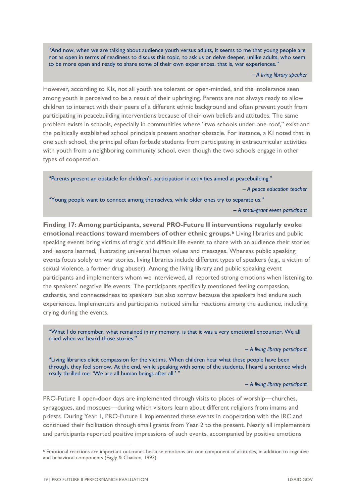"And now, when we are talking about audience youth versus adults, it seems to me that young people are not as open in terms of readiness to discuss this topic, to ask us or delve deeper, unlike adults, who seem to be more open and ready to share some of their own experiences, that is, war experiences."

*– A living library speaker*

However, according to KIs, not all youth are tolerant or open-minded, and the intolerance seen among youth is perceived to be a result of their upbringing. Parents are not always ready to allow children to interact with their peers of a different ethnic background and often prevent youth from participating in peacebuilding interventions because of their own beliefs and attitudes. The same problem exists in schools, especially in communities where "two schools under one roof," exist and the politically established school principals present another obstacle. For instance, a KI noted that in one such school, the principal often forbade students from participating in extracurricular activities with youth from a neighboring community school, even though the two schools engage in other types of cooperation.

"Parents present an obstacle for children's participation in activities aimed at peacebuilding."

*– A peace education teacher*

"Young people want to connect among themselves, while older ones try to separate us."

*– A small-grant event participant*

**Finding 17: Among participants, several PRO-Future II interventions regularly evoke emotional reactions toward members of other ethnic groups.[6](#page-24-0)** Living libraries and public speaking events bring victims of tragic and difficult life events to share with an audience their stories and lessons learned, illustrating universal human values and messages. Whereas public speaking events focus solely on war stories, living libraries include different types of speakers (e.g., a victim of sexual violence, a former drug abuser). Among the living library and public speaking event participants and implementers whom we interviewed, all reported strong emotions when listening to the speakers' negative life events. The participants specifically mentioned feeling compassion, catharsis, and connectedness to speakers but also sorrow because the speakers had endure such experiences. Implementers and participants noticed similar reactions among the audience, including crying during the events.

"What I do remember, what remained in my memory, is that it was a very emotional encounter. We all cried when we heard those stories."

*– A living library participant*

"Living libraries elicit compassion for the victims. When children hear what these people have been through, they feel sorrow. At the end, while speaking with some of the students, I heard a sentence which really thrilled me: 'We are all human beings after all.' "

*– A living library participant*

PRO-Future II open-door days are implemented through visits to places of worship—churches, synagogues, and mosques—during which visitors learn about different religions from imams and priests. During Year 1, PRO-Future II implemented these events in cooperation with the IRC and continued their facilitation through small grants from Year 2 to the present. Nearly all implementers and participants reported positive impressions of such events, accompanied by positive emotions

<span id="page-24-0"></span><sup>6</sup> Emotional reactions are important outcomes because emotions are one component of attitudes, in addition to cognitive and behavioral components (Eagly & Chaiken, 1993).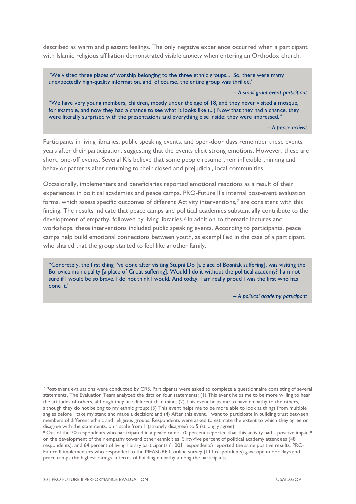described as warm and pleasant feelings. The only negative experience occurred when a participant with Islamic religious affiliation demonstrated visible anxiety when entering an Orthodox church.

"We visited three places of worship belonging to the three ethnic groups.... So, there were many unexpectedly high-quality information, and, of course, the entire group was thrilled."

*– A small-grant event participant*

"We have very young members, children, mostly under the age of 18, and they never visited a mosque, for example, and now they had a chance to see what it looks like (...) Now that they had a chance, they were literally surprised with the presentations and everything else inside; they were impressed."

*– A peace activist*

Participants in living libraries, public speaking events, and open-door days remember these events years after their participation, suggesting that the events elicit strong emotions. However, these are short, one-off events. Several KIs believe that some people resume their inflexible thinking and behavior patterns after returning to their closed and prejudicial, local communities.

Occasionally, implementers and beneficiaries reported emotional reactions as a result of their experiences in political academies and peace camps. PRO-Future II's internal post-event evaluation forms, which assess specific outcomes of different Activity interventions,<sup>[7](#page-25-0)</sup> are consistent with this finding. The results indicate that peace camps and political academies substantially contribute to the development of empathy, followed by living libraries.[8](#page-25-1) In addition to thematic lectures and workshops, these interventions included public speaking events. According to participants, peace camps help build emotional connections between youth, as exemplified in the case of a participant who shared that the group started to feel like another family.

"Concretely, the first thing I've done after visiting Stupni Do [a place of Bosniak suffering], was visiting the Borovica municipality [a place of Croat suffering]. Would I do it without the political academy? I am not sure if I would be so brave. I do not think I would. And today, I am really proud I was the first who has done it."

*– A political academy participant*

<span id="page-25-0"></span><sup>7</sup> Post-event evaluations were conducted by CRS. Participants were asked to complete a questionnaire consisting of several statements. The Evaluation Team analyzed the data on four statements: (1) This event helps me to be more willing to hear the attitudes of others, although they are different than mine; (2) This event helps me to have empathy to the others*,*  although they do not belong to my ethnic group; (3) This event helps me to be more able to look at things from multiple angles before I take my stand and make a decision; and (4) After this event, I want to participate in building trust between members of different ethnic and religious groups. Respondents were asked to estimate the extent to which they agree or disagree with the statements, on a scale from 1 (strongly disagree) to 5 (strongly agree).<br><sup>8</sup> Out of the 20 respondents who participated in a peace camp, 70 percent reported that this activity had a positive impact<sup>8</sup>

<span id="page-25-1"></span>on the development of their empathy toward other ethnicities. Sixty-five percent of political academy attendees (48 respondents), and 64 percent of living library participants (1,001 respondents) reported the same positive results. PRO-Future II implementers who responded to the MEASURE II online survey (113 respondents) gave open-door days and peace camps the highest ratings in terms of building empathy among the participants.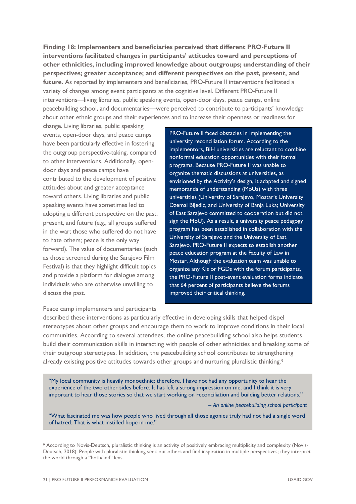**Finding 18: Implementers and beneficiaries perceived that different PRO-Future II interventions facilitated changes in participants' attitudes toward and perceptions of other ethnicities, including improved knowledge about outgroups; understanding of their perspectives; greater acceptance; and different perspectives on the past, present, and future.** As reported by implementers and beneficiaries, PRO-Future II interventions facilitated a variety of changes among event participants at the cognitive level. Different PRO-Future II interventions—living libraries, public speaking events, open-door days, peace camps, online peacebuilding school, and documentaries—were perceived to contribute to participants' knowledge about other ethnic groups and their experiences and to increase their openness or readiness for

change. Living libraries, public speaking events, open-door days, and peace camps have been particularly effective in fostering the outgroup perspective-taking, compared to other interventions. Additionally, opendoor days and peace camps have contributed to the development of positive attitudes about and greater acceptance toward others. Living libraries and public speaking events have sometimes led to adopting a different perspective on the past, present, and future (e.g., all groups suffered in the war; those who suffered do not have to hate others; peace is the only way forward). The value of documentaries (such as those screened during the Sarajevo Film Festival) is that they highlight difficult topics and provide a platform for dialogue among individuals who are otherwise unwilling to discuss the past.

PRO-Future II faced obstacles in implementing the university reconciliation forum. According to the implementors, BiH universities are reluctant to combine nonformal education opportunities with their formal programs. Because PRO-Future II was unable to organize thematic discussions at universities, as envisioned by the Activity's design, it adapted and signed memoranda of understanding (MoUs) with three universities (University of Sarajevo, Mostar's University Dzemal Bijedic, and University of Banja Luka; University of East Sarajevo committed to cooperation but did not sign the MoU). As a result, a university peace pedagogy program has been established in collaboration with the University of Sarajevo and the University of East Sarajevo. PRO-Future II expects to establish another peace education program at the Faculty of Law in Mostar. Although the evaluation team was unable to organize any KIs or FGDs with the forum participants, the PRO-Future II post-event evaluation forms indicate that 64 percent of participants believe the forums improved their critical thinking.

#### Peace camp implementers and participants

described these interventions as particularly effective in developing skills that helped dispel stereotypes about other groups and encourage them to work to improve conditions in their local communities. According to several attendees, the online peacebuilding school also helps students build their communication skills in interacting with people of other ethnicities and breaking some of their outgroup stereotypes. In addition, the peacebuilding school contributes to strengthening already existing positive attitudes towards other groups and nurturing pluralistic thinking.<sup>[9](#page-26-0)</sup>

"My local community is heavily monoethnic; therefore, I have not had any opportunity to hear the experience of the two other sides before. It has left a strong impression on me, and I think it is very important to hear those stories so that we start working on reconciliation and building better relations."

*– An online peacebuilding school participant*

"What fascinated me was how people who lived through all those agonies truly had not had a single word of hatred. That is what instilled hope in me."

<span id="page-26-0"></span><sup>9</sup> According to Novis-Deutsch, pluralistic thinking is an activity of positively embracing multiplicity and complexity (Novis-Deutsch, 2018). People with pluralistic thinking seek out others and find inspiration in multiple perspectives; they interpret the world through a "both/and" lens.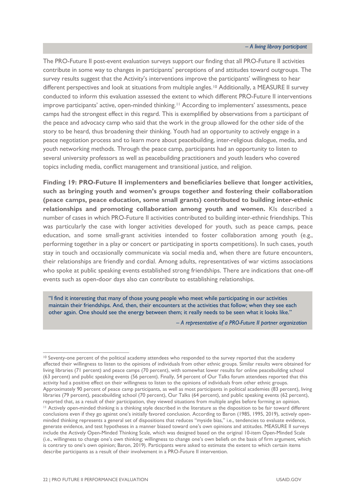*– A living library participant*

The PRO-Future II post-event evaluation surveys support our finding that all PRO-Future II activities contribute in some way to changes in participants' perceptions of and attitudes toward outgroups. The survey results suggest that the Activity's interventions improve the participants' willingness to hear different perspectives and look at situations from multiple angles.<sup>[10](#page-27-0)</sup> Additionally, a MEASURE II survey conducted to inform this evaluation assessed the extent to which different PRO-Future II interventions improve participants' active, open-minded thinking.[11](#page-27-1) According to implementers' assessments, peace camps had the strongest effect in this regard. This is exemplified by observations from a participant of the peace and advocacy camp who said that the work in the group allowed for the other side of the story to be heard, thus broadening their thinking. Youth had an opportunity to actively engage in a peace negotiation process and to learn more about peacebuilding, inter-religious dialogue, media, and youth networking methods. Through the peace camp, participants had an opportunity to listen to several university professors as well as peacebuilding practitioners and youth leaders who covered topics including media, conflict management and transitional justice, and religion.

**Finding 19: PRO-Future II implementers and beneficiaries believe that longer activities, such as bringing youth and women's groups together and fostering their collaboration (peace camps, peace education, some small grants) contributed to building inter-ethnic relationships and promoting collaboration among youth and women.** KIs described a number of cases in which PRO-Future II activities contributed to building inter-ethnic friendships. This was particularly the case with longer activities developed for youth, such as peace camps, peace education, and some small-grant activities intended to foster collaboration among youth (e.g., performing together in a play or concert or participating in sports competitions). In such cases, youth stay in touch and occasionally communicate via social media and, when there are future encounters, their relationships are friendly and cordial. Among adults, representatives of war victims associations who spoke at public speaking events established strong friendships. There are indications that one-off events such as open-door days also can contribute to establishing relationships.

"I find it interesting that many of those young people who meet while participating in our activities maintain their friendships. And, then, their encounters at the activities that follow; when they see each other again. One should see the energy between them; it really needs to be seen what it looks like."

*– A representative of a PRO-Future II partner organization*

<span id="page-27-1"></span><span id="page-27-0"></span><sup>10</sup> Seventy-one percent of the political academy attendees who responded to the survey reported that the academy affected their willingness to listen to the opinions of individuals from other ethnic groups. Similar results were obtained for living libraries (71 percent) and peace camps (70 percent), with somewhat lower results for online peacebuilding school (63 percent) and public speaking events (56 percent). Finally, 54 percent of Our Talks forum attendees reported that this activity had a positive effect on their willingness to listen to the opinions of individuals from other ethnic groups. Approximately 90 percent of peace camp participants, as well as most participants in political academies (83 percent), living libraries (79 percent), peacebuilding school (70 percent), Our Talks (64 percent), and public speaking events (62 percent), reported that, as a result of their participation, they viewed situations from multiple angles before forming an opinion.<br><sup>11</sup> Actively open-minded thinking is a thinking style described in the literature as the dispositio conclusions even if they go against one's initially favored conclusion. According to Baron (1985, 1995, 2019), actively openminded thinking represents a general set of dispositions that reduces "myside bias," i.e., tendencies to evaluate evidence, generate evidence, and test hypotheses in a manner biased toward one's own opinions and attitudes. MEASURE II surveys include the Actively Open-Minded Thinking Scale, which was designed based on the original 10-item Open-Minded Scale (i.e., willingness to change one's own thinking; willingness to change one's own beliefs on the basis of firm argument, which is contrary to one's own opinion; Baron, 2019). Participants were asked to estimate the extent to which certain items describe participants as a result of their involvement in a PRO-Future II intervention.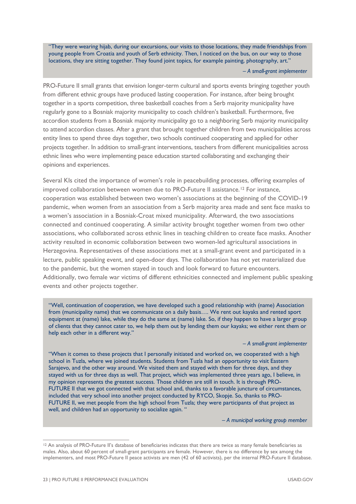"They were wearing hijab, during our excursions, our visits to those locations, they made friendships from young people from Croatia and youth of Serb ethnicity. Then, I noticed on the bus, on our way to those locations, they are sitting together. They found joint topics, for example painting, photography, art."

*– A small-grant implementer*

PRO-Future II small grants that envision longer-term cultural and sports events bringing together youth from different ethnic groups have produced lasting cooperation. For instance, after being brought together in a sports competition, three basketball coaches from a Serb majority municipality have regularly gone to a Bosniak majority municipality to coach children's basketball. Furthermore, five accordion students from a Bosniak majority municipality go to a neighboring Serb majority municipality to attend accordion classes. After a grant that brought together children from two municipalities across entity lines to spend three days together, two schools continued cooperating and applied for other projects together. In addition to small-grant interventions, teachers from different municipalities across ethnic lines who were implementing peace education started collaborating and exchanging their opinions and experiences.

Several KIs cited the importance of women's role in peacebuilding processes, offering examples of improved collaboration between women due to PRO-Future II assistance.<sup>[12](#page-28-0)</sup> For instance, cooperation was established between two women's associations at the beginning of the COVID-19 pandemic, when women from an association from a Serb majority area made and sent face masks to a women's association in a Bosniak-Croat mixed municipality. Afterward, the two associations connected and continued cooperating. A similar activity brought together women from two other associations, who collaborated across ethnic lines in teaching children to create face masks. Another activity resulted in economic collaboration between two women-led agricultural associations in Herzegovina. Representatives of these associations met at a small-grant event and participated in a lecture, public speaking event, and open-door days. The collaboration has not yet materialized due to the pandemic, but the women stayed in touch and look forward to future encounters. Additionally, two female war victims of different ethnicities connected and implement public speaking events and other projects together.

"Well, continuation of cooperation, we have developed such a good relationship with (name) Association from (municipality name) that we communicate on a daily basis…. We rent out kayaks and rented sport equipment at (name) lake, while they do the same at (name) lake. So, if they happen to have a larger group of clients that they cannot cater to, we help them out by lending them our kayaks; we either rent them or help each other in a different way."

*– A small-grant implementer*

"When it comes to these projects that I personally initiated and worked on, we cooperated with a high school in Tuzla, where we joined students. Students from Tuzla had an opportunity to visit Eastern Sarajevo, and the other way around. We visited them and stayed with them for three days, and they stayed with us for three days as well. That project, which was implemented three years ago, I believe, in my opinion represents the greatest success. Those children are still in touch. It is through PRO-FUTURE II that we got connected with that school and, thanks to a favorable juncture of circumstances, included that very school into another project conducted by RYCO, Skopje. So, thanks to PRO-FUTURE II, we met people from the high school from Tuzla; they were participants of that project as well, and children had an opportunity to socialize again. "

*– A municipal working group member*

<span id="page-28-0"></span><sup>&</sup>lt;sup>12</sup> An analysis of PRO-Future II's database of beneficiaries indicates that there are twice as many female beneficiaries as males. Also, about 60 percent of small-grant participants are female. However, there is no difference by sex among the implementers, and most PRO-Future II peace activists are men (42 of 60 activists), per the internal PRO-Future II database.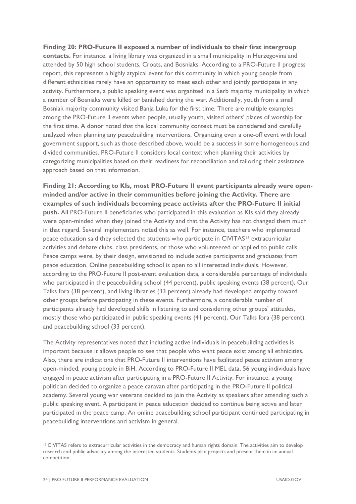**Finding 20: PRO-Future II exposed a number of individuals to their first intergroup contacts.** For instance, a living library was organized in a small municipality in Herzegovina and attended by 50 high school students, Croats, and Bosniaks. According to a PRO-Future II progress report, this represents a highly atypical event for this community in which young people from different ethnicities rarely have an opportunity to meet each other and jointly participate in any activity. Furthermore, a public speaking event was organized in a Serb majority municipality in which a number of Bosniaks were killed or banished during the war. Additionally, youth from a small Bosniak majority community visited Banja Luka for the first time. There are multiple examples among the PRO-Future II events when people, usually youth, visited others' places of worship for the first time. A donor noted that the local community context must be considered and carefully analyzed when planning any peacebuilding interventions. Organizing even a one-off event with local government support, such as those described above, would be a success in some homogeneous and divided communities. PRO-Future II considers local context when planning their activities by categorizing municipalities based on their readiness for reconciliation and tailoring their assistance approach based on that information.

**Finding 21: According to KIs, most PRO-Future II event participants already were openminded and/or active in their communities before joining the Activity. There are examples of such individuals becoming peace activists after the PRO-Future II initial push.** All PRO-Future II beneficiaries who participated in this evaluation as KIs said they already were open-minded when they joined the Activity and that the Activity has not changed them much in that regard. Several implementers noted this as well. For instance, teachers who implemented peace education said they selected the students who participate in CIVITAS<sup>[13](#page-29-0)</sup> extracurricular activities and debate clubs, class presidents, or those who volunteered or applied to public calls. Peace camps were, by their design, envisioned to include active participants and graduates from peace education. Online peacebuilding school is open to all interested individuals. However, according to the PRO-Future II post-event evaluation data, a considerable percentage of individuals who participated in the peacebuilding school (44 percent), public speaking events (38 percent), Our Talks fora (38 percent), and living libraries (33 percent) already had developed empathy toward other groups before participating in these events. Furthermore, a considerable number of participants already had developed skills in listening to and considering other groups' attitudes, mostly those who participated in public speaking events (41 percent), Our Talks fora (38 percent), and peacebuilding school (33 percent).

The Activity representatives noted that including active individuals in peacebuilding activities is important because it allows people to see that people who want peace exist among all ethnicities. Also, there are indications that PRO-Future II interventions have facilitated peace activism among open-minded, young people in BiH. According to PRO-Future II MEL data, 56 young individuals have engaged in peace activism after participating in a PRO-Future II Activity. For instance, a young politician decided to organize a peace caravan after participating in the PRO-Future II political academy. Several young war veterans decided to join the Activity as speakers after attending such a public speaking event. A participant in peace education decided to continue being active and later participated in the peace camp. An online peacebuilding school participant continued participating in peacebuilding interventions and activism in general.

<span id="page-29-0"></span><sup>13</sup> CIVITAS refers to extracurricular activities in the democracy and human rights domain. The activities aim to develop research and public advocacy among the interested students. Students plan projects and present them in an annual competition.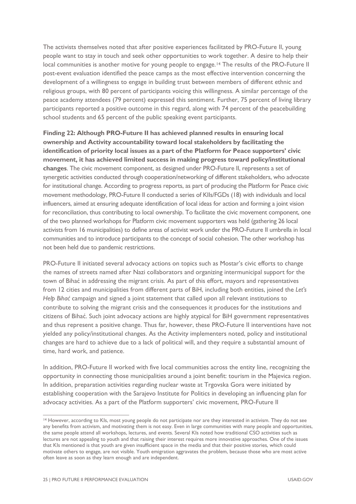The activists themselves noted that after positive experiences facilitated by PRO-Future II, young people want to stay in touch and seek other opportunities to work together. A desire to help their local communities is another motive for young people to engage.<sup>[14](#page-30-0)</sup> The results of the PRO-Future II post-event evaluation identified the peace camps as the most effective intervention concerning the development of a willingness to engage in building trust between members of different ethnic and religious groups, with 80 percent of participants voicing this willingness. A similar percentage of the peace academy attendees (79 percent) expressed this sentiment. Further, 75 percent of living library participants reported a positive outcome in this regard, along with 74 percent of the peacebuilding school students and 65 percent of the public speaking event participants.

**Finding 22: Although PRO-Future II has achieved planned results in ensuring local ownership and Activity accountability toward local stakeholders by facilitating the identification of priority local issues as a part of the Platform for Peace supporters' civic movement, it has achieved limited success in making progress toward policy/institutional changes**. The civic movement component, as designed under PRO-Future II, represents a set of synergetic activities conducted through cooperation/networking of different stakeholders, who advocate for institutional change. According to progress reports, as part of producing the Platform for Peace civic movement methodology, PRO-Future II conducted a series of KIIs/FGDs (18) with individuals and local influencers, aimed at ensuring adequate identification of local ideas for action and forming a joint vision for reconciliation, thus contributing to local ownership. To facilitate the civic movement component, one of the two planned workshops for Platform civic movement supporters was held (gathering 26 local activists from 16 municipalities) to define areas of activist work under the PRO-Future II umbrella in local communities and to introduce participants to the concept of social cohesion. The other workshop has not been held due to pandemic restrictions.

PRO-Future II initiated several advocacy actions on topics such as Mostar's civic efforts to change the names of streets named after Nazi collaborators and organizing intermunicipal support for the town of Bihać in addressing the migrant crisis. As part of this effort, mayors and representatives from 12 cities and municipalities from different parts of BiH, including both entities, joined the *Let's Help Bihać* campaign and signed a joint statement that called upon all relevant institutions to contribute to solving the migrant crisis and the consequences it produces for the institutions and citizens of Bihać. Such joint advocacy actions are highly atypical for BiH government representatives and thus represent a positive change. Thus far, however, these PRO-Future II interventions have not yielded any policy/institutional changes. As the Activity implementers noted, policy and institutional changes are hard to achieve due to a lack of political will, and they require a substantial amount of time, hard work, and patience.

In addition, PRO-Future II worked with five local communities across the entity line, recognizing the opportunity in connecting those municipalities around a joint benefit: tourism in the Majevica region. In addition, preparation activities regarding nuclear waste at Trgovska Gora were initiated by establishing cooperation with the Sarajevo Institute for Politics in developing an influencing plan for advocacy activities. As a part of the Platform supporters' civic movement, PRO-Future II

<span id="page-30-0"></span><sup>14</sup> However, according to KIs, most young people do not participate nor are they interested in activism. They do not see any benefits from activism, and motivating them is not easy. Even in large communities with many people and opportunities, the same people attend all workshops, lectures, and events. Several KIs noted how traditional CSO activities such as lectures are not appealing to youth and that raising their interest requires more innovative approaches. One of the issues that KIs mentioned is that youth are given insufficient space in the media and that their positive stories, which could motivate others to engage, are not visible. Youth emigration aggravates the problem, because those who are most active often leave as soon as they learn enough and are independent.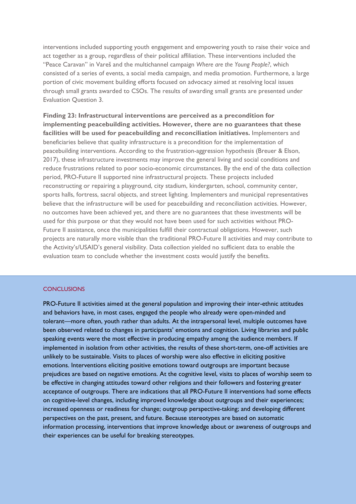interventions included supporting youth engagement and empowering youth to raise their voice and act together as a group, regardless of their political affiliation. These interventions included the "Peace Caravan" in Vareš and the multichannel campaign *Where are the Young People?*, which consisted of a series of events, a social media campaign, and media promotion. Furthermore, a large portion of civic movement building efforts focused on advocacy aimed at resolving local issues through small grants awarded to CSOs. The results of awarding small grants are presented under Evaluation Question 3.

**Finding 23: Infrastructural interventions are perceived as a precondition for implementing peacebuilding activities. However, there are no guarantees that these facilities will be used for peacebuilding and reconciliation initiatives.** Implementers and beneficiaries believe that quality infrastructure is a precondition for the implementation of peacebuilding interventions. According to the frustration-aggression hypothesis (Breuer & Elson, 2017), these infrastructure investments may improve the general living and social conditions and reduce frustrations related to poor socio-economic circumstances. By the end of the data collection period, PRO-Future II supported nine infrastructural projects. These projects included reconstructing or repairing a playground, city stadium, kindergarten, school, community center, sports halls, fortress, sacral objects, and street lighting. Implementers and municipal representatives believe that the infrastructure will be used for peacebuilding and reconciliation activities. However, no outcomes have been achieved yet, and there are no guarantees that these investments will be used for this purpose or that they would not have been used for such activities without PRO-Future II assistance, once the municipalities fulfill their contractual obligations. However, such projects are naturally more visible than the traditional PRO-Future II activities and may contribute to the Activity's/USAID's general visibility. Data collection yielded no sufficient data to enable the evaluation team to conclude whether the investment costs would justify the benefits.

#### **CONCLUSIONS**

PRO-Future II activities aimed at the general population and improving their inter-ethnic attitudes and behaviors have, in most cases, engaged the people who already were open-minded and tolerant—more often, youth rather than adults. At the intrapersonal level, multiple outcomes have been observed related to changes in participants' emotions and cognition. Living libraries and public speaking events were the most effective in producing empathy among the audience members. If implemented in isolation from other activities, the results of these short-term, one-off activities are unlikely to be sustainable. Visits to places of worship were also effective in eliciting positive emotions. Interventions eliciting positive emotions toward outgroups are important because prejudices are based on negative emotions. At the cognitive level, visits to places of worship seem to be effective in changing attitudes toward other religions and their followers and fostering greater acceptance of outgroups. There are indications that all PRO-Future II interventions had some effects on cognitive-level changes, including improved knowledge about outgroups and their experiences; increased openness or readiness for change; outgroup perspective-taking; and developing different perspectives on the past, present, and future. Because stereotypes are based on automatic information processing, interventions that improve knowledge about or awareness of outgroups and their experiences can be useful for breaking stereotypes.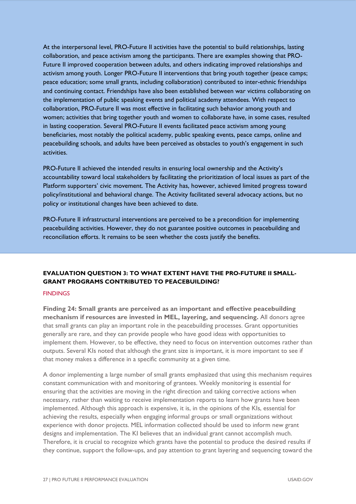At the interpersonal level, PRO-Future II activities have the potential to build relationships, lasting collaboration, and peace activism among the participants. There are examples showing that PRO-Future II improved cooperation between adults, and others indicating improved relationships and activism among youth. Longer PRO-Future II interventions that bring youth together (peace camps; peace education; some small grants, including collaboration) contributed to inter-ethnic friendships and continuing contact. Friendships have also been established between war victims collaborating on the implementation of public speaking events and political academy attendees. With respect to collaboration, PRO-Future II was most effective in facilitating such behavior among youth and women; activities that bring together youth and women to collaborate have, in some cases, resulted in lasting cooperation. Several PRO-Future II events facilitated peace activism among young beneficiaries, most notably the political academy, public speaking events, peace camps, online and peacebuilding schools, and adults have been perceived as obstacles to youth's engagement in such activities.

PRO-Future II achieved the intended results in ensuring local ownership and the Activity's accountability toward local stakeholders by facilitating the prioritization of local issues as part of the Platform supporters' civic movement. The Activity has, however, achieved limited progress toward policy/institutional and behavioral change. The Activity facilitated several advocacy actions, but no policy or institutional changes have been achieved to date.

PRO-Future II infrastructural interventions are perceived to be a precondition for implementing peacebuilding activities. However, they do not guarantee positive outcomes in peacebuilding and reconciliation efforts. It remains to be seen whether the costs justify the benefits.

### <span id="page-32-0"></span>**EVALUATION QUESTION 3: TO WHAT EXTENT HAVE THE PRO-FUTURE II SMALL-GRANT PROGRAMS CONTRIBUTED TO PEACEBUILDING?**

#### **FINDINGS**

**Finding 24: Small grants are perceived as an important and effective peacebuilding mechanism if resources are invested in MEL, layering, and sequencing.** All donors agree that small grants can play an important role in the peacebuilding processes. Grant opportunities generally are rare, and they can provide people who have good ideas with opportunities to implement them. However, to be effective, they need to focus on intervention outcomes rather than outputs. Several KIs noted that although the grant size is important, it is more important to see if that money makes a difference in a specific community at a given time.

A donor implementing a large number of small grants emphasized that using this mechanism requires constant communication with and monitoring of grantees. Weekly monitoring is essential for ensuring that the activities are moving in the right direction and taking corrective actions when necessary, rather than waiting to receive implementation reports to learn how grants have been implemented. Although this approach is expensive, it is, in the opinions of the KIs, essential for achieving the results, especially when engaging informal groups or small organizations without experience with donor projects. MEL information collected should be used to inform new grant designs and implementation. The KI believes that an individual grant cannot accomplish much. Therefore, it is crucial to recognize which grants have the potential to produce the desired results if they continue, support the follow-ups, and pay attention to grant layering and sequencing toward the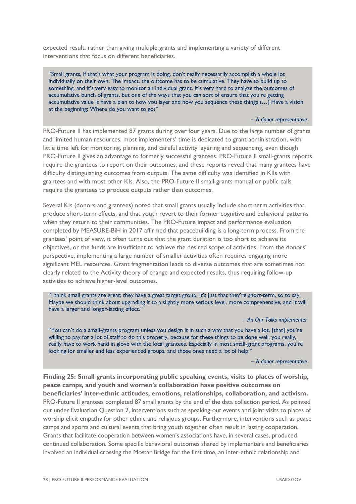expected result, rather than giving multiple grants and implementing a variety of different interventions that focus on different beneficiaries.

"Small grants, if that's what your program is doing, don't really necessarily accomplish a whole lot individually on their own. The impact, the outcome has to be cumulative. They have to build up to something, and it's very easy to monitor an individual grant. It's very hard to analyze the outcomes of accumulative bunch of grants, but one of the ways that you can sort of ensure that you're getting accumulative value is have a plan to how you layer and how you sequence these things (…) Have a vision at the beginning: Where do you want to go?"

#### *– A donor representative*

PRO-Future II has implemented 87 grants during over four years. Due to the large number of grants and limited human resources, most implementers' time is dedicated to grant administration, with little time left for monitoring, planning, and careful activity layering and sequencing, even though PRO-Future II gives an advantage to formerly successful grantees. PRO-Future II small-grants reports require the grantees to report on their outcomes, and these reports reveal that many grantees have difficulty distinguishing outcomes from outputs. The same difficulty was identified in KIIs with grantees and with most other KIs. Also, the PRO-Future II small-grants manual or public calls require the grantees to produce outputs rather than outcomes.

Several KIs (donors and grantees) noted that small grants usually include short-term activities that produce short-term effects, and that youth revert to their former cognitive and behavioral patterns when they return to their communities. The PRO-Future impact and performance evaluation completed by MEASURE-BiH in 2017 affirmed that peacebuilding is a long-term process. From the grantees' point of view, it often turns out that the grant duration is too short to achieve its objectives, or the funds are insufficient to achieve the desired scope of activities. From the donors' perspective, implementing a large number of smaller activities often requires engaging more significant MEL resources. Grant fragmentation leads to diverse outcomes that are sometimes not clearly related to the Activity theory of change and expected results, thus requiring follow-up activities to achieve higher-level outcomes.

"I think small grants are great; they have a great target group. It's just that they're short-term, so to say. Maybe we should think about upgrading it to a slightly more serious level, more comprehensive, and it will have a larger and longer-lasting effect."

*– An Our Talks implementer*

"You can't do a small-grants program unless you design it in such a way that you have a lot, [that] you're willing to pay for a lot of staff to do this properly, because for these things to be done well, you really, really have to work hand in glove with the local grantees. Especially in most small-grant programs, you're looking for smaller and less experienced groups, and those ones need a lot of help."

*– A donor representative*

**Finding 25: Small grants incorporating public speaking events, visits to places of worship, peace camps, and youth and women's collaboration have positive outcomes on beneficiaries' inter-ethnic attitudes, emotions, relationships, collaboration, and activism.** PRO-Future II grantees completed 87 small grants by the end of the data collection period. As pointed out under Evaluation Question 2, interventions such as speaking-out events and joint visits to places of worship elicit empathy for other ethnic and religious groups. Furthermore, interventions such as peace camps and sports and cultural events that bring youth together often result in lasting cooperation. Grants that facilitate cooperation between women's associations have, in several cases, produced continued collaboration. Some specific behavioral outcomes shared by implementers and beneficiaries involved an individual crossing the Mostar Bridge for the first time, an inter-ethnic relationship and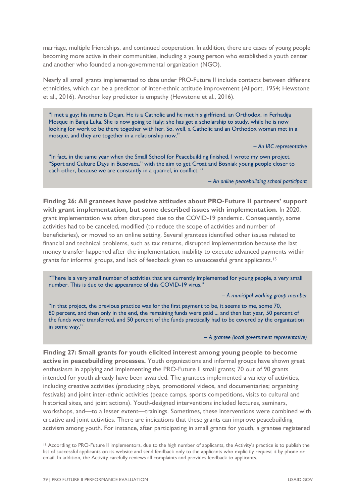marriage, multiple friendships, and continued cooperation. In addition, there are cases of young people becoming more active in their communities, including a young person who established a youth center and another who founded a non-governmental organization (NGO).

Nearly all small grants implemented to date under PRO-Future II include contacts between different ethnicities, which can be a predictor of inter-ethnic attitude improvement (Allport, 1954; Hewstone et al., 2016). Another key predictor is empathy (Hewstone et al., 2016).

"I met a guy; his name is Dejan. He is a Catholic and he met his girlfriend, an Orthodox, in Ferhadija Mosque in Banja Luka. She is now going to Italy; she has got a scholarship to study, while he is now looking for work to be there together with her. So, well, a Catholic and an Orthodox woman met in a mosque, and they are together in a relationship now."

*– An IRC representative*

"In fact, in the same year when the Small School for Peacebuilding finished, I wrote my own project, "Sport and Culture Days in Busovaca," with the aim to get Croat and Bosniak young people closer to each other, because we are constantly in a quarrel, in conflict. "

*– An online peacebuilding school participant*

**Finding 26: All grantees have positive attitudes about PRO-Future II partners' support with grant implementation, but some described issues with implementation.** In 2020, grant implementation was often disrupted due to the COVID-19 pandemic. Consequently, some activities had to be canceled, modified (to reduce the scope of activities and number of beneficiaries), or moved to an online setting. Several grantees identified other issues related to financial and technical problems, such as tax returns, disrupted implementation because the last money transfer happened after the implementation, inability to execute advanced payments within grants for informal groups, and lack of feedback given to unsuccessful grant applicants.[15](#page-34-0)

"There is a very small number of activities that are currently implemented for young people, a very small number. This is due to the appearance of this COVID-19 virus."

*– A municipal working group member*

"In that project, the previous practice was for the first payment to be, it seems to me, some 70, 80 percent, and then only in the end, the remaining funds were paid ... and then last year, 50 percent of the funds were transferred, and 50 percent of the funds practically had to be covered by the organization in some way."

*– A grantee (local government representative)*

**Finding 27: Small grants for youth elicited interest among young people to become active in peacebuilding processes.** Youth organizations and informal groups have shown great enthusiasm in applying and implementing the PRO-Future II small grants; 70 out of 90 grants intended for youth already have been awarded. The grantees implemented a variety of activities, including creative activities (producing plays, promotional videos, and documentaries; organizing festivals) and joint inter-ethnic activities (peace camps, sports competitions, visits to cultural and historical sites, and joint actions). Youth-designed interventions included lectures, seminars, workshops, and—to a lesser extent—trainings. Sometimes, these interventions were combined with creative and joint activities. There are indications that these grants can improve peacebuilding activism among youth. For instance, after participating in small grants for youth, a grantee registered

<span id="page-34-0"></span><sup>&</sup>lt;sup>15</sup> According to PRO-Future II implementors, due to the high number of applicants, the Activity's practice is to publish the list of successful applicants on its website and send feedback only to the applicants who explicitly request it by phone or email. In addition, the Activity carefully reviews all complaints and provides feedback to applicants.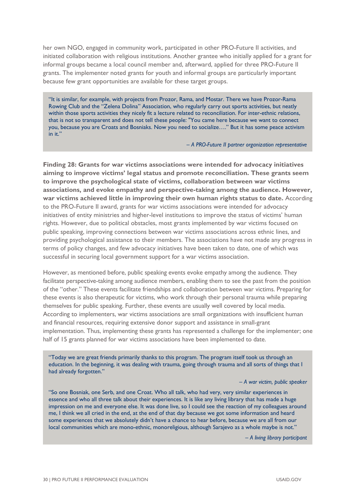her own NGO, engaged in community work, participated in other PRO-Future II activities, and initiated collaboration with religious institutions. Another grantee who initially applied for a grant for informal groups became a local council member and, afterward, applied for three PRO-Future II grants. The implementer noted grants for youth and informal groups are particularly important because few grant opportunities are available for these target groups.

"It is similar, for example, with projects from Prozor, Rama, and Mostar. There we have Prozor-Rama Rowing Club and the "Zelena Dolina" Association, who regularly carry out sports activities, but neatly within those sports activities they nicely fit a lecture related to reconciliation. For inter-ethnic relations, that is not so transparent and does not tell these people: "You came here because we want to connect you, because you are Croats and Bosniaks. Now you need to socialize…." But it has some peace activism in it."

*– A PRO-Future II partner organization representative*

**Finding 28: Grants for war victims associations were intended for advocacy initiatives aiming to improve victims' legal status and promote reconciliation. These grants seem to improve the psychological state of victims, collaboration between war victims associations, and evoke empathy and perspective-taking among the audience. However, war victims achieved little in improving their own human rights status to date.** According to the PRO-Future II award, grants for war victims associations were intended for advocacy initiatives of entity ministries and higher-level institutions to improve the status of victims' human rights. However, due to political obstacles, most grants implemented by war victims focused on public speaking, improving connections between war victims associations across ethnic lines, and providing psychological assistance to their members. The associations have not made any progress in terms of policy changes, and few advocacy initiatives have been taken to date, one of which was successful in securing local government support for a war victims association.

However, as mentioned before, public speaking events evoke empathy among the audience. They facilitate perspective-taking among audience members, enabling them to see the past from the position of the "other." These events facilitate friendships and collaboration between war victims. Preparing for these events is also therapeutic for victims, who work through their personal trauma while preparing themselves for public speaking. Further, these events are usually well covered by local media. According to implementers, war victims associations are small organizations with insufficient human and financial resources, requiring extensive donor support and assistance in small-grant implementation. Thus, implementing these grants has represented a challenge for the implementer; one half of 15 grants planned for war victims associations have been implemented to date.

"Today we are great friends primarily thanks to this program. The program itself took us through an education. In the beginning, it was dealing with trauma, going through trauma and all sorts of things that I had already forgotten."

*– A war victim, public speaker*

"So one Bosniak, one Serb, and one Croat. Who all talk, who had very, very similar experiences in essence and who all three talk about their experiences. It is like any living library that has made a huge impression on me and everyone else. It was done live, so I could see the reaction of my colleagues around me, I think we all cried in the end, at the end of that day because we got some information and heard some experiences that we absolutely didn't have a chance to hear before, because we are all from our local communities which are mono-ethnic, monoreligious, although Sarajevo as a whole maybe is not."

*– A living library participant*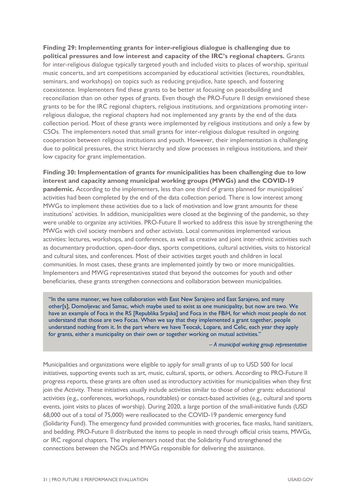**Finding 29: Implementing grants for inter-religious dialogue is challenging due to political pressures and low interest and capacity of the IRC's regional chapters.** Grants for inter-religious dialogue typically targeted youth and included visits to places of worship, spiritual music concerts, and art competitions accompanied by educational activities (lectures, roundtables, seminars, and workshops) on topics such as reducing prejudice, hate speech, and fostering coexistence. Implementers find these grants to be better at focusing on peacebuilding and reconciliation than on other types of grants. Even though the PRO-Future II design envisioned these grants to be for the IRC regional chapters, religious institutions, and organizations promoting interreligious dialogue, the regional chapters had not implemented any grants by the end of the data collection period. Most of these grants were implemented by religious institutions and only a few by CSOs. The implementers noted that small grants for inter-religious dialogue resulted in ongoing cooperation between religious institutions and youth. However, their implementation is challenging due to political pressures, the strict hierarchy and slow processes in religious institutions, and their low capacity for grant implementation.

**Finding 30: Implementation of grants for municipalities has been challenging due to low interest and capacity among municipal working groups (MWGs) and the COVID-19 pandemic.** According to the implementers, less than one third of grants planned for municipalities' activities had been completed by the end of the data collection period. There is low interest among MWGs to implement these activities due to a lack of motivation and low grant amounts for these institutions' activities. In addition, municipalities were closed at the beginning of the pandemic, so they were unable to organize any activities. PRO-Future II worked to address this issue by strengthening the MWGs with civil society members and other activists. Local communities implemented various activities: lectures, workshops, and conferences, as well as creative and joint inter-ethnic activities such as documentary production, open-door days, sports competitions, cultural activities, visits to historical and cultural sites, and conferences. Most of their activities target youth and children in local communities. In most cases, these grants are implemented jointly by two or more municipalities. Implementers and MWG representatives stated that beyond the outcomes for youth and other beneficiaries, these grants strengthen connections and collaboration between municipalities.

"In the same manner, we have collaboration with East New Sarajevo and East Sarajevo, and many other[s], Domoljevac and Samac, which maybe used to exist as one municipality, but now are two. We have an example of Foca in the RS [Republika Srpska] and Foca in the FBiH, for which most people do not understand that those are two Focas. When we say that they implemented a grant together, people understand nothing from it. In the part where we have Teocak, Lopare, and Celic, each year they apply for grants, either a municipality on their own or together working on mutual activities."

*– A municipal working group representative*

Municipalities and organizations were eligible to apply for small grants of up to USD 500 for local initiatives, supporting events such as art, music, cultural, sports, or others. According to PRO-Future II progress reports, these grants are often used as introductory activities for municipalities when they first join the Activity. These initiatives usually include activities similar to those of other grants: educational activities (e.g., conferences, workshops, roundtables) or contact-based activities (e.g., cultural and sports events, joint visits to places of worship). During 2020, a large portion of the small-initiative funds (USD 68,000 out of a total of 75,000) were reallocated to the COVID-19 pandemic emergency fund (Solidarity Fund). The emergency fund provided communities with groceries, face masks, hand sanitizers, and bedding. PRO-Future II distributed the items to people in need through official crisis teams, MWGs, or IRC regional chapters. The implementers noted that the Solidarity Fund strengthened the connections between the NGOs and MWGs responsible for delivering the assistance.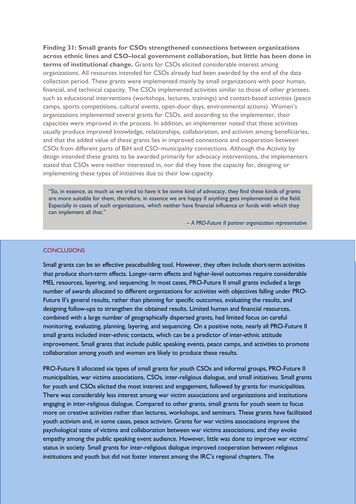**Finding 31: Small grants for CSOs strengthened connections between organizations across ethnic lines and CSO–local government collaboration, but little has been done in terms of institutional change.** Grants for CSOs elicited considerable interest among organizations. All resources intended for CSOs already had been awarded by the end of the data collection period. These grants were implemented mainly by small organizations with poor human, financial, and technical capacity. The CSOs implemented activities similar to those of other grantees, such as educational interventions (workshops, lectures, trainings) and contact-based activities (peace camps, sports competitions, cultural events, open-door days, environmental actions). Women's organizations implemented several grants for CSOs, and according to the implementer, their capacities were improved in the process. In addition, an implementer noted that these activities usually produce improved knowledge, relationships, collaboration, and activism among beneficiaries, and that the added value of these grants lies in improved connections and cooperation between CSOs from different parts of BiH and CSO–municipality connections. Although the Activity by design intended these grants to be awarded primarily for advocacy interventions, the implementers stated that CSOs were neither interested in, nor did they have the capacity for, designing or implementing these types of initiatives due to their low capacity.

"So, in essence, as much as we tried to have it be some kind of advocacy, they find these kinds of grants are more suitable for them, therefore, in essence we are happy if anything gets implemented in the field. Especially in cases of such organizations, which neither have financial influence or funds with which they can implement all that."

*– A PRO-Future II partner organization representative*

#### **CONCLUSIONS**

Small grants can be an effective peacebuilding tool. However, they often include short-term activities that produce short-term effects. Longer-term effects and higher-level outcomes require considerable MEL resources, layering, and sequencing. In most cases, PRO-Future II small grants included a large number of awards allocated to different organizations for activities with objectives falling under PRO-Future II's general results, rather than planning for specific outcomes, evaluating the results, and designing follow-ups to strengthen the obtained results. Limited human and financial resources, combined with a large number of geographically dispersed grants, had limited focus on careful monitoring, evaluating, planning, layering, and sequencing. On a positive note, nearly all PRO-Future II small grants included inter-ethnic contacts, which can be a predictor of inter-ethnic attitude improvement. Small grants that include public speaking events, peace camps, and activities to promote collaboration among youth and women are likely to produce these results.

PRO-Future II allocated six types of small grants for youth CSOs and informal groups, PRO-Future II municipalities, war victims associations, CSOs, inter-religious dialogue, and small initiatives. Small grants for youth and CSOs elicited the most interest and engagement, followed by grants for municipalities. There was considerably less interest among war victim associations and organizations and institutions engaging in inter-religious dialogue. Compared to other grants, small grants for youth seem to focus more on creative activities rather than lectures, workshops, and seminars. These grants have facilitated youth activism and, in some cases, peace activism. Grants for war victims associations improve the psychological state of victims and collaboration between war victims associations, and they evoke empathy among the public speaking event audience. However, little was done to improve war victims' status in society. Small grants for inter-religious dialogue improved cooperation between religious institutions and youth but did not foster interest among the IRC's regional chapters. The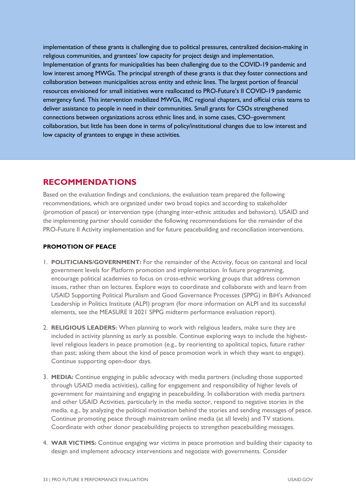implementation of these grants is challenging due to political pressures, centralized decision-making in religious communities, and grantees' low capacity for project design and implementation. Implementation of grants for municipalities has been challenging due to the COVID-19 pandemic and low interest among MWGs. The principal strength of these grants is that they foster connections and collaboration between municipalities across entity and ethnic lines. The largest portion of financial resources envisioned for small initiatives were reallocated to PRO-Future's II COVID-19 pandemic emergency fund. This intervention mobilized MWGs, IRC regional chapters, and official crisis teams to deliver assistance to people in need in their communities. Small grants for CSOs strengthened connections between organizations across ethnic lines and, in some cases, CSO–government collaboration, but little has been done in terms of policy/institutional changes due to low interest and low capacity of grantees to engage in these activities.

# <span id="page-38-0"></span>**RECOMMENDATIONS**

Based on the evaluation findings and conclusions, the evaluation team prepared the following recommendations, which are organized under two broad topics and according to stakeholder (promotion of peace) or intervention type (changing inter-ethnic attitudes and behaviors). USAID and the implementing partner should consider the following recommendations for the remainder of the PRO-Future II Activity implementation and for future peacebuilding and reconciliation interventions.

### **PROMOTION OF PEACE**

- 1. **POLITICIANS/GOVERNMENT:** For the remainder of the Activity, focus on cantonal and local government levels for Platform promotion and implementation. In future programming, encourage political academies to focus on cross-ethnic working groups that address common issues, rather than on lectures. Explore ways to coordinate and collaborate with and learn from USAID Supporting Political Pluralism and Good Governance Processes (SPPG) in BiH's Advanced Leadership in Politics Institute (ALPI) program (for more information on ALPI and its successful elements, see the MEASURE II 2021 SPPG midterm performance evaluation report).
- 2. **RELIGIOUS LEADERS:** When planning to work with religious leaders, make sure they are included in activity planning as early as possible. Continue exploring ways to include the highestlevel religious leaders in peace promotion (e.g., by reorienting to apolitical topics, future rather than past; asking them about the kind of peace promotion work in which they want to engage). Continue supporting open-door days.
- 3. **MEDIA:** Continue engaging in public advocacy with media partners (including those supported through USAID media activities), calling for engagement and responsibility of higher levels of government for maintaining and engaging in peacebuilding. In collaboration with media partners and other USAID Activities, particularly in the media sector, respond to negative stories in the media, e.g., by analyzing the political motivation behind the stories and sending messages of peace. Continue promoting peace through mainstream online media (at all levels) and TV stations. Coordinate with other donor peacebuilding projects to strengthen peacebuilding messages.
- 4. **WAR VICTIMS:** Continue engaging war victims in peace promotion and building their capacity to design and implement advocacy interventions and negotiate with governments. Consider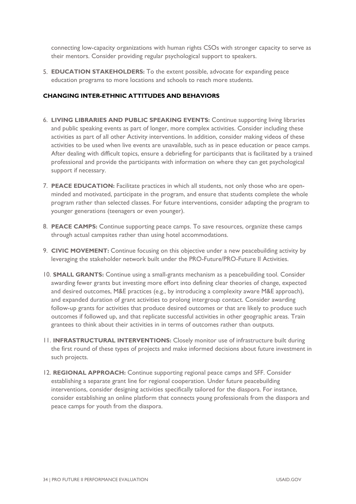connecting low-capacity organizations with human rights CSOs with stronger capacity to serve as their mentors. Consider providing regular psychological support to speakers.

5. **EDUCATION STAKEHOLDERS:** To the extent possible, advocate for expanding peace education programs to more locations and schools to reach more students.

#### **CHANGING INTER-ETHNIC ATTITUDES AND BEHAVIORS**

- 6. **LIVING LIBRARIES AND PUBLIC SPEAKING EVENTS:** Continue supporting living libraries and public speaking events as part of longer, more complex activities. Consider including these activities as part of all other Activity interventions. In addition, consider making videos of these activities to be used when live events are unavailable, such as in peace education or peace camps. After dealing with difficult topics, ensure a debriefing for participants that is facilitated by a trained professional and provide the participants with information on where they can get psychological support if necessary.
- 7. **PEACE EDUCATION:** Facilitate practices in which all students, not only those who are openminded and motivated, participate in the program, and ensure that students complete the whole program rather than selected classes. For future interventions, consider adapting the program to younger generations (teenagers or even younger).
- 8. **PEACE CAMPS:** Continue supporting peace camps. To save resources, organize these camps through actual campsites rather than using hotel accommodations.
- 9. **CIVIC MOVEMENT:** Continue focusing on this objective under a new peacebuilding activity by leveraging the stakeholder network built under the PRO-Future/PRO-Future II Activities.
- 10. **SMALL GRANTS:** Continue using a small-grants mechanism as a peacebuilding tool. Consider awarding fewer grants but investing more effort into defining clear theories of change, expected and desired outcomes, M&E practices (e.g., by introducing a complexity aware M&E approach), and expanded duration of grant activities to prolong intergroup contact. Consider awarding follow-up grants for activities that produce desired outcomes or that are likely to produce such outcomes if followed up, and that replicate successful activities in other geographic areas. Train grantees to think about their activities in in terms of outcomes rather than outputs.
- 11. **INFRASTRUCTURAL INTERVENTIONS:** Closely monitor use of infrastructure built during the first round of these types of projects and make informed decisions about future investment in such projects.
- 12. **REGIONAL APPROACH:** Continue supporting regional peace camps and SFF. Consider establishing a separate grant line for regional cooperation. Under future peacebuilding interventions, consider designing activities specifically tailored for the diaspora. For instance, consider establishing an online platform that connects young professionals from the diaspora and peace camps for youth from the diaspora.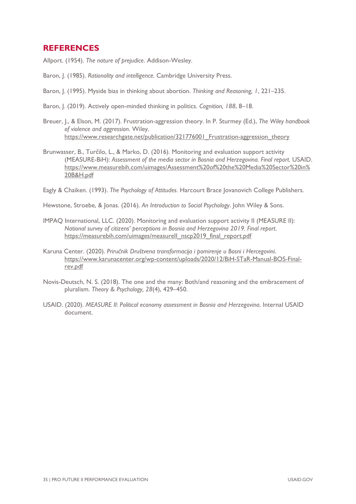# <span id="page-40-0"></span>**REFERENCES**

Allport. (1954). *The nature of prejudice*. Addison-Wesley.

- Baron, J. (1985). *Rationality and intelligence.* Cambridge University Press.
- Baron, J. (1995). Myside bias in thinking about abortion. *Thinking and Reasoning, 1*, 221–235.
- Baron, J. (2019). Actively open-minded thinking in politics. *Cognition, 188*, 8–18.
- Breuer, J., & Elson, M. (2017). Frustration-aggression theory. In P. Sturmey (Ed.), *The Wiley handbook of violence and aggression*. Wiley. https://www.researchgate.net/publication/321776001 Frustration-aggression theory
- Brunwasser, B., Turčilo, L., & Marko, D. (2016). Monitoring and evaluation support activity (MEASURE-BiH): *Assessment of the media sector in Bosnia and Herzegovina. Final report*. USAID. [https://www.measurebih.com/uimages/Assessment%20of%20the%20Media%20Sector%20in%](https://www.measurebih.com/uimages/Assessment%20of%20the%20Media%20Sector%20in%20B&H.pdf) [20B&H.pdf](https://www.measurebih.com/uimages/Assessment%20of%20the%20Media%20Sector%20in%20B&H.pdf)

Eagly & Chaiken. (1993). *The Psychology of Attitudes*. Harcourt Brace Jovanovich College Publishers.

Hewstone, Stroebe, & Jonas. (2016). *An Introduction to Social Psychology*. John Wiley & Sons.

- IMPAQ International, LLC. (2020). Monitoring and evaluation support activity II (MEASURE II): *National survey of citizens' perceptions in Bosnia and Herzegovina 2019. Final report*. https://measurebih.com/uimages/measurell\_nscp2019\_final\_report.pdf
- Karuna Center. (2020). *Priručnik Društvena transformacija i pomirenje u Bosni i Hercegovini*. [https://www.karunacenter.org/wp-content/uploads/2020/12/BiH-STaR-Manual-BOS-Final](https://www.karunacenter.org/wp-content/uploads/2020/12/BiH-STaR-Manual-BOS-Final-rev.pdf)[rev.pdf](https://www.karunacenter.org/wp-content/uploads/2020/12/BiH-STaR-Manual-BOS-Final-rev.pdf)
- Novis-Deutsch, N. S. (2018). The one and the many: Both/and reasoning and the embracement of pluralism. *Theory & Psychology, 28*(4), 429–450.
- USAID. (2020). *MEASURE II: Political economy assessment in Bosnia and Herzegovina*. Internal USAID document.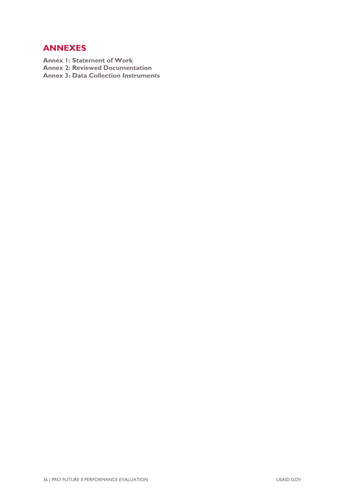# <span id="page-41-0"></span>**ANNEXES**

**Annex 1: Statement of Work Annex 2: Reviewed Documentation Annex 3: Data Collection Instruments**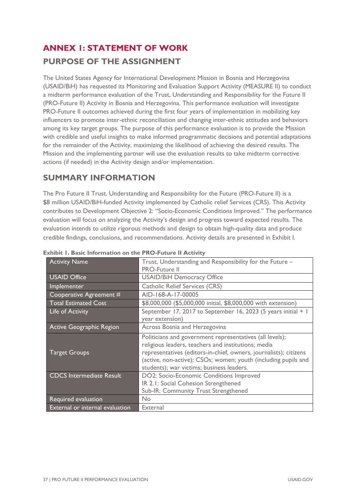# <span id="page-42-0"></span>**ANNEX 1: STATEMENT OF WORK PURPOSE OF THE ASSIGNMENT**

The United States Agency for International Development Mission in Bosnia and Herzegovina (USAID/BiH) has requested its Monitoring and Evaluation Support Activity (MEASURE II) to conduct a midterm performance evaluation of the Trust, Understanding and Responsibility for the Future II (PRO-Future II) Activity in Bosnia and Herzegovina. This performance evaluation will investigate PRO-Future II outcomes achieved during the first four years of implementation in mobilizing key influencers to promote inter-ethnic reconciliation and changing inter-ethnic attitudes and behaviors among its key target groups. The purpose of this performance evaluation is to provide the Mission with credible and useful insights to make informed programmatic decisions and potential adaptations for the remainder of the Activity, maximizing the likelihood of achieving the desired results. The Mission and the implementing partner will use the evaluation results to take midterm corrective actions (if needed) in the Activity design and/or implementation.

# **SUMMARY INFORMATION**

The Pro Future II Trust, Understanding and Responsibility for the Future (PRO-Future II) is a \$8 million USAID/BiH-funded Activity implemented by Catholic relief Services (CRS). This Activity contributes to Development Objective 2: "Socio-Economic Conditions Improved." The performance evaluation will focus on analyzing the Activity's design and progress toward expected results. The evaluation intends to utilize rigorous methods and design to obtain high-quality data and produce credible findings, conclusions, and recommendations. Activity details are presented in Exhibit I.

| <b>Activity Name</b>            | Trust, Understanding and Responsibility for the Future -<br><b>PRO-Future II</b> |
|---------------------------------|----------------------------------------------------------------------------------|
| <b>USAID Office</b>             | <b>USAID/BiH Democracy Office</b>                                                |
| Implementer                     | <b>Catholic Relief Services (CRS)</b>                                            |
| Cooperative Agreement #         | AID-168-A-17-00005                                                               |
| <b>Total Estimated Cost</b>     | \$8,000,000 (\$5,000,000 initial, \$8,000,000 with extension)                    |
| Life of Activity                | September 17, 2017 to September 16, 2023 (5 years initial + 1                    |
|                                 | year extension)                                                                  |
| Active Geographic Region        | Across Bosnia and Herzegovina                                                    |
|                                 | Politicians and government representatives (all levels);                         |
|                                 | religious leaders, teachers and institutions; media                              |
| <b>Target Groups</b>            | representatives (editors-in-chief, owners, journalists); citizens                |
|                                 | (active, non-active); CSOs; women; youth (including pupils and                   |
|                                 | students); war victims; business leaders.                                        |
| <b>CDCS Intermediate Result</b> | DO2: Socio-Economic Conditions Improved                                          |
|                                 | IR 2.1: Social Cohesion Strengthened                                             |
|                                 | Sub-IR: Community Trust Strengthened                                             |
| Required evaluation             | No                                                                               |
|                                 |                                                                                  |

**Exhibit 1. Basic Information on the PRO-Future II Activity**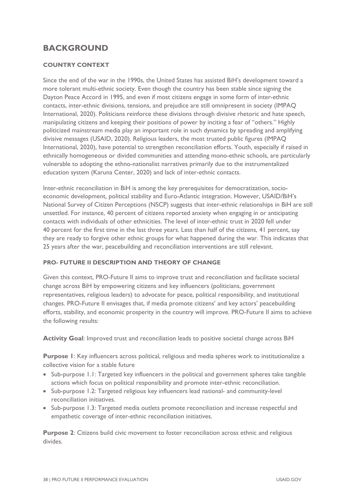# **BACKGROUND**

### **COUNTRY CONTEXT**

Since the end of the war in the 1990s, the United States has assisted BiH's development toward a more tolerant multi-ethnic society. Even though the country has been stable since signing the Dayton Peace Accord in 1995, and even if most citizens engage in some form of inter-ethnic contacts, inter-ethnic divisions, tensions, and prejudice are still omnipresent in society (IMPAQ International, 2020). Politicians reinforce these divisions through divisive rhetoric and hate speech, manipulating citizens and keeping their positions of power by inciting a fear of "others." Highly politicized mainstream media play an important role in such dynamics by spreading and amplifying divisive messages (USAID, 2020). Religious leaders, the most trusted public figures (IMPAQ International, 2020), have potential to strengthen reconciliation efforts. Youth, especially if raised in ethnically homogeneous or divided communities and attending mono-ethnic schools, are particularly vulnerable to adopting the ethno-nationalist narratives primarily due to the instrumentalized education system (Karuna Center, 2020) and lack of inter-ethnic contacts.

Inter-ethnic reconciliation in BiH is among the key prerequisites for democratization, socioeconomic development, political stability and Euro-Atlantic integration. However, USAID/BiH's National Survey of Citizen Perceptions (NSCP) suggests that inter-ethnic relationships in BiH are still unsettled. For instance, 40 percent of citizens reported anxiety when engaging in or anticipating contacts with individuals of other ethnicities. The level of inter-ethnic trust in 2020 fell under 40 percent for the first time in the last three years. Less than half of the citizens, 41 percent, say they are ready to forgive other ethnic groups for what happened during the war. This indicates that 25 years after the war, peacebuilding and reconciliation interventions are still relevant.

### **PRO- FUTURE II DESCRIPTION AND THEORY OF CHANGE**

Given this context, PRO-Future II aims to improve trust and reconciliation and facilitate societal change across BiH by empowering citizens and key influencers (politicians, government representatives, religious leaders) to advocate for peace, political responsibility, and institutional changes. PRO-Future II envisages that, if media promote citizens' and key actors' peacebuilding efforts, stability, and economic prosperity in the country will improve. PRO-Future II aims to achieve the following results:

**Activity Goal**: Improved trust and reconciliation leads to positive societal change across BiH

**Purpose 1**: Key influencers across political, religious and media spheres work to institutionalize a collective vision for a stable future

- Sub-purpose 1.1: Targeted key influencers in the political and government spheres take tangible actions which focus on political responsibility and promote inter-ethnic reconciliation.
- Sub-purpose 1.2: Targeted religious key influencers lead national- and community-level reconciliation initiatives.
- Sub-purpose 1.3: Targeted media outlets promote reconciliation and increase respectful and empathetic coverage of inter-ethnic reconciliation initiatives.

**Purpose 2**: Citizens build civic movement to foster reconciliation across ethnic and religious divides.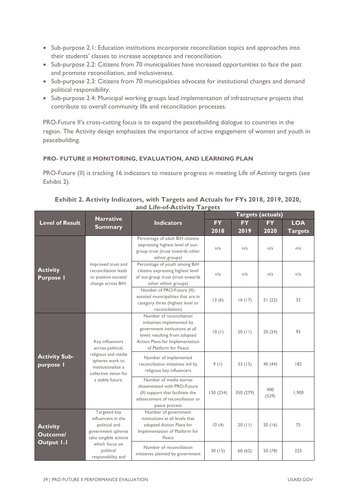- Sub-purpose 2.1: Education institutions incorporate reconciliation topics and approaches into their students' classes to increase acceptance and reconciliation.
- Sub-purpose 2.2: Citizens from 70 municipalities have increased opportunities to face the past and promote reconciliation, and inclusiveness.
- Sub-purpose 2.3: Citizens from 70 municipalities advocate for institutional changes and demand political responsibility.
- Sub-purpose 2.4: Municipal working groups lead implementation of infrastructure projects that contribute to overall community life and reconciliation processes.

PRO-Future II's cross-cutting focus is to expand the peacebuilding dialogue to countries in the region. The Activity design emphasizes the importance of active engagement of women and youth in peacebuilding.

### **PRO- FUTURE II MONITORING, EVALUATION, AND LEARNING PLAN**

PRO-Future (II) is tracking 16 indicators to measure progress in meeting Life of Activity targets (see Exhibit 2).

|                                                  | <b>Narrative</b>                                                                                                                                  |                                                                                                                                                                                       | Targets (actuals) |           |              |                |
|--------------------------------------------------|---------------------------------------------------------------------------------------------------------------------------------------------------|---------------------------------------------------------------------------------------------------------------------------------------------------------------------------------------|-------------------|-----------|--------------|----------------|
| <b>Level of Result</b>                           |                                                                                                                                                   | <b>Indicators</b>                                                                                                                                                                     | <b>FY</b>         | <b>FY</b> | <b>FY</b>    | <b>LOA</b>     |
|                                                  | <b>Summary</b>                                                                                                                                    |                                                                                                                                                                                       | 2018              | 2019      | 2020         | <b>Targets</b> |
|                                                  |                                                                                                                                                   | Percentage of adult BiH citizens<br>expressing highest level of out-<br>group trust (trust towards other<br>ethnic groups)                                                            | n/a               | n/a       | n/a          | n/a            |
| <b>Activity</b><br><b>Purpose I</b>              | Improved trust and<br>reconciliation leads<br>to positive societal<br>change across BiH.                                                          | Percentage of youth among BiH<br>citizens expressing highest level<br>of out-group trust (trust towards<br>other ethnic groups)                                                       | n/a               | n/a       | n/a          | n/a            |
|                                                  |                                                                                                                                                   | Number of PRO-Future (II)-<br>assisted municipalities that are in<br>category three (highest level or<br>reconciliation)                                                              | 12(6)             | 16(17)    | 21(22)       | 32             |
| <b>Activity Sub-</b><br>purpose I                | Key influencers<br>across political,<br>religious and media<br>spheres work to<br>institutionalize a<br>collective vision for<br>a stable future. | Number of reconciliation<br>initiatives implemented by<br>government institutions at all<br>levels resulting from adopted<br>Action Plans for Implementation<br>of Platform for Peace | 10(1)             | 20(11)    | 20(24)       | 95             |
|                                                  |                                                                                                                                                   | Number of implemented<br>reconciliation initiatives led by<br>religious key influencers                                                                                               | 9(1)              | 33(15)    | 40 (44)      | 182            |
|                                                  |                                                                                                                                                   | Number of media stories<br>disseminated with PRO-Future<br>(II) support that facilitate the<br>advancement of reconciliation or<br>peace process                                      | 150(254)          | 350 (279) | 400<br>(539) | 1,900          |
| <b>Activity</b><br><b>Outcome/</b><br>Output I.I | Targeted key<br>influencers in the<br>political and<br>government spheres<br>take tangible actions                                                | Number of government<br>institutions at all levels that<br>adopted Action Plans for<br>Implementation of Platform for<br>Peace                                                        | 10(4)             | 20(11)    | 20(16)       | 75             |
|                                                  | which focus on<br>political<br>responsibility and                                                                                                 | Number of reconciliation<br>initiatives planned by government                                                                                                                         | 30(15)            | 60(62)    | 50 (78)      | 225            |

### **Exhibit 2. Activity Indicators, with Targets and Actuals for FYs 2018, 2019, 2020, and Life-of-Activity Targets**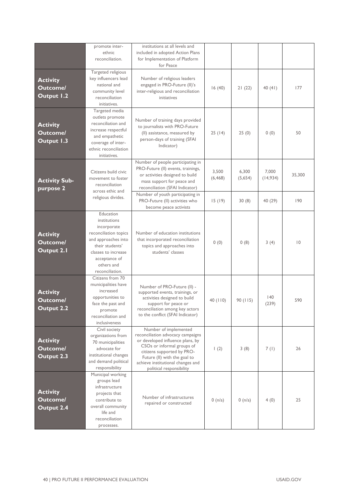|                                                  | promote inter-<br>ethnic<br>reconciliation.                                                                                                                                          | institutions at all levels and<br>included in adopted Action Plans<br>for Implementation of Platform<br>for Peace                                                                                                                                           |                   |                  |                    |             |
|--------------------------------------------------|--------------------------------------------------------------------------------------------------------------------------------------------------------------------------------------|-------------------------------------------------------------------------------------------------------------------------------------------------------------------------------------------------------------------------------------------------------------|-------------------|------------------|--------------------|-------------|
| <b>Activity</b><br><b>Outcome/</b><br>Output 1.2 | Targeted religious<br>key influencers lead<br>national and<br>community level<br>reconciliation<br>initiatives.                                                                      | Number of religious leaders<br>engaged in PRO-Future (II)'s<br>inter-religious and reconciliation<br>initiatives                                                                                                                                            | 16(40)            | 21(22)           | 40(41)             | 177         |
| <b>Activity</b><br><b>Outcome/</b><br>Output 1.3 | Targeted media<br>outlets promote<br>reconciliation and<br>increase respectful<br>and empathetic<br>coverage of inter-<br>ethnic reconciliation<br>initiatives.                      | Number of training days provided<br>to journalists with PRO-Future<br>(II) assistance, measured by<br>person-days of training (SFAI<br>Indicator)                                                                                                           | 25(14)            | 25(0)            | 0(0)               | 50          |
| <b>Activity Sub-</b><br>purpose 2                | Citizens build civic<br>movement to foster<br>reconciliation<br>across ethic and                                                                                                     | Number of people participating in<br>PRO-Future (II) events, trainings,<br>or activities designed to build<br>mass support for peace and<br>reconciliation (SFAI Indicator)                                                                                 | 3,500<br>(6, 468) | 6,300<br>(5,654) | 7,000<br>(14, 934) | 35,300      |
|                                                  | religious divides.                                                                                                                                                                   | Number of youth participating in<br>PRO-Future (II) activities who<br>become peace activists                                                                                                                                                                | 15(19)            | 30(8)            | 40 (29)            | 190         |
| <b>Activity</b><br><b>Outcome/</b><br>Output 2.1 | Education<br>institutions<br>incorporate<br>reconciliation topics<br>and approaches into<br>their students'<br>classes to increase<br>acceptance of<br>others and<br>reconciliation. | Number of education institutions<br>that incorporated reconciliation<br>topics and approaches into<br>students' classes                                                                                                                                     | 0(0)              | 0(8)             | 3(4)               | $ 0\rangle$ |
| <b>Activity</b><br><b>Outcome/</b><br>Output 2.2 | Citizens from 70<br>municipalities have<br>increased<br>opportunities to<br>face the past and<br>promote<br>reconciliation and<br>inclusiveness                                      | Number of PRO-Future (II) -<br>supported events, trainings, or<br>activities designed to build<br>support for peace or<br>reconciliation among key actors<br>to the conflict (SFAI Indicator)                                                               | 40(110)           | 90(115)          | 40<br>(239)        | 590         |
| <b>Activity</b><br><b>Outcome/</b><br>Output 2.3 | Civil society<br>organizations from<br>70 municipalities<br>advocate for<br>institutional changes<br>and demand political<br>responsibility                                          | Number of implemented<br>reconciliation advocacy campaigns<br>or developed influence plans, by<br>CSOs or informal groups of<br>citizens supported by PRO-<br>Future (II) with the goal to<br>achieve institutional changes and<br>political responsibility | $\left(2\right)$  | 3(8)             | 7(1)               | 26          |
| <b>Activity</b><br><b>Outcome/</b><br>Output 2.4 | Municipal working<br>groups lead<br>infrastructure<br>projects that<br>contribute to<br>overall community<br>life and<br>reconciliation<br>processes.                                | Number of infrastructures<br>repaired or constructed                                                                                                                                                                                                        | 0 (n/a)           | 0 (n/a)          | 4(0)               | 25          |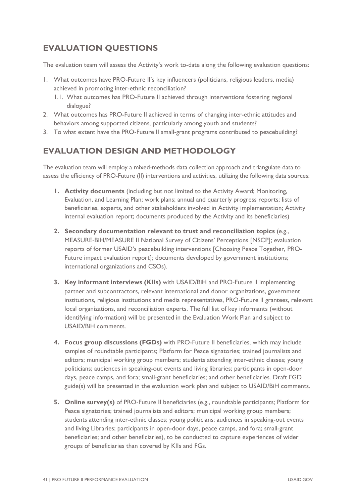# **EVALUATION QUESTIONS**

The evaluation team will assess the Activity's work to-date along the following evaluation questions:

- 1. What outcomes have PRO-Future II's key influencers (politicians, religious leaders, media) achieved in promoting inter-ethnic reconciliation?
	- 1.1. What outcomes has PRO-Future II achieved through interventions fostering regional dialogue?
- 2. What outcomes has PRO-Future II achieved in terms of changing inter-ethnic attitudes and behaviors among supported citizens, particularly among youth and students?
- 3. To what extent have the PRO-Future II small-grant programs contributed to peacebuilding?

# **EVALUATION DESIGN AND METHODOLOGY**

The evaluation team will employ a mixed-methods data collection approach and triangulate data to assess the efficiency of PRO-Future (II) interventions and activities, utilizing the following data sources:

- **1. Activity documents** (including but not limited to the Activity Award; Monitoring, Evaluation, and Learning Plan; work plans; annual and quarterly progress reports; lists of beneficiaries, experts, and other stakeholders involved in Activity implementation; Activity internal evaluation report; documents produced by the Activity and its beneficiaries)
- **2. Secondary documentation relevant to trust and reconciliation topics** (e.g., MEASURE-BiH/MEASURE II National Survey of Citizens' Perceptions [NSCP]; evaluation reports of former USAID's peacebuilding interventions [Choosing Peace Together, PRO-Future impact evaluation report]; documents developed by government institutions; international organizations and CSOs).
- **3. Key informant interviews (KIIs)** with USAID/BiH and PRO-Future II implementing partner and subcontractors, relevant international and donor organizations, government institutions, religious institutions and media representatives, PRO-Future II grantees, relevant local organizations, and reconciliation experts. The full list of key informants (without identifying information) will be presented in the Evaluation Work Plan and subject to USAID/BiH comments.
- **4. Focus group discussions (FGDs)** with PRO-Future II beneficiaries, which may include samples of roundtable participants; Platform for Peace signatories; trained journalists and editors; municipal working group members; students attending inter-ethnic classes; young politicians; audiences in speaking-out events and living libraries; participants in open-door days, peace camps, and fora; small-grant beneficiaries; and other beneficiaries. Draft FGD guide(s) will be presented in the evaluation work plan and subject to USAID/BiH comments.
- **5. Online survey(s)** of PRO-Future II beneficiaries (e.g., roundtable participants; Platform for Peace signatories; trained journalists and editors; municipal working group members; students attending inter-ethnic classes; young politicians; audiences in speaking-out events and living Libraries; participants in open-door days, peace camps, and fora; small-grant beneficiaries; and other beneficiaries), to be conducted to capture experiences of wider groups of beneficiaries than covered by KIIs and FGs.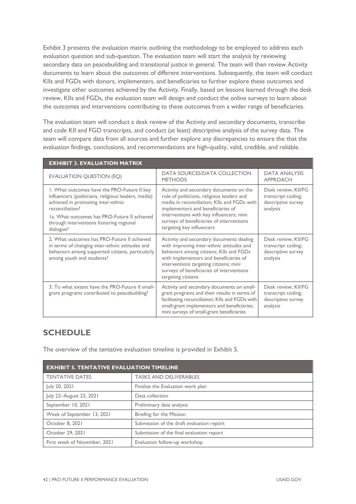Exhibit 3 presents the evaluation matrix outlining the methodology to be employed to address each evaluation question and sub-question. The evaluation team will start the analysis by reviewing secondary data on peacebuilding and transitional justice in general. The team will then review Activity documents to learn about the outcomes of different interventions. Subsequently, the team will conduct KIIs and FGDs with donors, implementers, and beneficiaries to further explore these outcomes and investigate other outcomes achieved by the Activity. Finally, based on lessons learned through the desk review, KIIs and FGDs, the evaluation team will design and conduct the online surveys to learn about the outcomes and interventions contributing to these outcomes from a wider range of beneficiaries.

The evaluation team will conduct a desk review of the Activity and secondary documents, transcribe and code KII and FGD transcripts, and conduct (at least) descriptive analysis of the survey data. The team will compare data from all sources and further explore any discrepancies to ensure the that the evaluation findings, conclusions, and recommendations are high-quality, valid, credible, and reliable.

| <b>EXHIBIT 3. EVALUATION MATRIX</b>                                                                                                                                                                                                                                  |                                                                                                                                                                                                                                                                                                 |                                                                             |  |  |
|----------------------------------------------------------------------------------------------------------------------------------------------------------------------------------------------------------------------------------------------------------------------|-------------------------------------------------------------------------------------------------------------------------------------------------------------------------------------------------------------------------------------------------------------------------------------------------|-----------------------------------------------------------------------------|--|--|
| <b>EVALUATION QUESTION (EQ)</b>                                                                                                                                                                                                                                      | DATA SOURCES/DATA COLLECTION<br><b>METHODS</b>                                                                                                                                                                                                                                                  | <b>DATA ANALYSIS</b><br><b>APPROACH</b>                                     |  |  |
| 1. What outcomes have the PRO-Future II key<br>influencers (politicians, religious leaders, media)<br>achieved in promoting inter-ethnic<br>reconciliation?<br>La. What outcomes has PRO-Future II achieved<br>through interventions fostering regional<br>dialogue? | Activity and secondary documents on the<br>role of politicians, religious leaders and<br>media in reconciliation; KIIs and FGDs with<br>implementors and beneficiaries of<br>interventions with key influencers; mini<br>surveys of beneficiaries of interventions<br>targeting key influencers | Desk review; KII/FG<br>transcript coding;<br>descriptive survey<br>analysis |  |  |
| 2. What outcomes has PRO-Future II achieved<br>in terms of changing inter-ethnic attitudes and<br>behaviors among supported citizens, particularly<br>among youth and students?                                                                                      | Activity and secondary documents dealing<br>with improving inter-ethnic attitudes and<br>behaviors among citizens; Klls and FGDs<br>with implementors and beneficiaries of<br>interventions targeting citizens; mini<br>surveys of beneficiaries of interventions<br>targeting citizens         | Desk review; KII/FG<br>transcript coding;<br>descriptive survey<br>analysis |  |  |
| 3. To what extent have the PRO-Future II small-<br>grant programs contributed to peacebuilding?                                                                                                                                                                      | Activity and secondary documents on small-<br>grant programs and their results in terms of<br>facilitating reconciliation; Klls and FGDs with<br>small-grant implementors and beneficiaries;<br>mini surveys of small-grant beneficiaries                                                       | Desk review; KII/FG<br>transcript coding;<br>descriptive survey<br>analysis |  |  |

# **SCHEDULE**

The overview of the tentative evaluation timeline is provided in Exhibit 5.

| <b>EXHIBIT 5. TENTATIVE EVALUATION TIMELINE</b> |                                           |  |
|-------------------------------------------------|-------------------------------------------|--|
| <b>TENTATIVE DATES</b>                          | <b>TASKS AND DELIVERABLES</b>             |  |
| July 20, 2021                                   | Finalize the Evaluation work plan         |  |
| July 22-August 23, 2021                         | Data collection                           |  |
| September 10, 2021                              | Preliminary data analysis                 |  |
| Week of September 13, 2021                      | Briefing for the Mission                  |  |
| October 8, 2021                                 | Submission of the draft evaluation report |  |
| October 29, 2021                                | Submission of the final evaluation report |  |
| First week of November, 2021                    | Evaluation follow-up workshop             |  |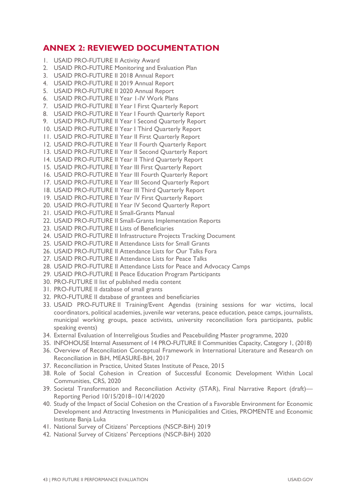# <span id="page-48-0"></span>**ANNEX 2: REVIEWED DOCUMENTATION**

- 1. USAID PRO-FUTURE II Activity Award
- 2. USAID PRO-FUTURE Monitoring and Evaluation Plan
- 3. USAID PRO-FUTURE II 2018 Annual Report
- 4. USAID PRO-FUTURE II 2019 Annual Report
- 5. USAID PRO-FUTURE II 2020 Annual Report
- 6. USAID PRO-FUTURE II Year 1-IV Work Plans
- 7. USAID PRO-FUTURE II Year I First Quarterly Report
- 8. USAID PRO-FUTURE II Year I Fourth Quarterly Report
- 9. USAID PRO-FUTURE II Year I Second Quarterly Report
- 10. USAID PRO-FUTURE II Year I Third Quarterly Report
- 11. USAID PRO-FUTURE II Year II First Quarterly Report
- 12. USAID PRO-FUTURE II Year II Fourth Quarterly Report
- 13. USAID PRO-FUTURE II Year II Second Quarterly Report
- 14. USAID PRO-FUTURE II Year II Third Quarterly Report
- 15. USAID PRO-FUTURE II Year III First Quarterly Report
- 16. USAID PRO-FUTURE II Year III Fourth Quarterly Report
- 17. USAID PRO-FUTURE II Year III Second Quarterly Report
- 18. USAID PRO-FUTURE II Year III Third Quarterly Report
- 19. USAID PRO-FUTURE II Year IV First Quarterly Report
- 20. USAID PRO-FUTURE II Year IV Second Quarterly Report
- 21. USAID PRO-FUTURE II Small-Grants Manual
- 22. USAID PRO-FUTURE II Small-Grants Implementation Reports
- 23. USAID PRO-FUTURE II Lists of Beneficiaries
- 24. USAID PRO-FUTURE II Infrastructure Projects Tracking Document
- 25. USAID PRO-FUTURE II Attendance Lists for Small Grants
- 26. USAID PRO-FUTURE II Attendance Lists for Our Talks Fora
- 27. USAID PRO-FUTURE II Attendance Lists for Peace Talks
- 28. USAID PRO-FUTURE II Attendance Lists for Peace and Advocacy Camps
- 29. USAID PRO-FUTURE II Peace Education Program Participants
- 30. PRO-FUTURE II list of published media content
- 31. PRO-FUTURE II database of small grants
- 32. PRO-FUTURE II database of grantees and beneficiaries
- 33. USAID PRO-FUTURE II Training/Event Agendas (training sessions for war victims, local coordinators, political academies, juvenile war veterans, peace education, peace camps, journalists, municipal working groups, peace activists, university reconciliation fora participants, public speaking events)
- 34. External Evaluation of Interreligious Studies and Peacebuilding Master programme, 2020
- 35. INFOHOUSE Internal Assessment of 14 PRO-FUTURE II Communities Capacity, Category 1, (2018)
- 36. Overview of Reconciliation Conceptual Framework in International Literature and Research on Reconciliation in BiH, MEASURE-BiH, 2017
- 37. Reconciliation in Practice, United States Institute of Peace, 2015
- 38. Role of Social Cohesion in Creation of Successful Economic Development Within Local Communities, CRS, 2020
- 39. Societal Transformation and Reconciliation Activity (STAR), Final Narrative Report (draft)— Reporting Period 10/15/2018–10/14/2020
- 40. Study of the Impact of Social Cohesion on the Creation of a Favorable Environment for Economic Development and Attracting Investments in Municipalities and Cities, PROMENTE and Economic Institute Banja Luka
- 41. National Survey of Citizens' Perceptions (NSCP-BiH) 2019
- 42. National Survey of Citizens' Perceptions (NSCP-BiH) 2020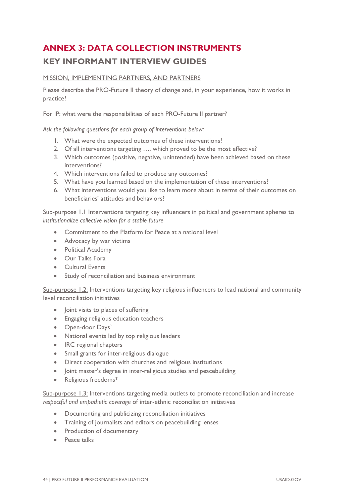# <span id="page-49-0"></span>**ANNEX 3: DATA COLLECTION INSTRUMENTS**

# **KEY INFORMANT INTERVIEW GUIDES**

## MISSION, IMPLEMENTING PARTNERS, AND PARTNERS

Please describe the PRO-Future II theory of change and, in your experience, how it works in practice?

For IP: what were the responsibilities of each PRO-Future II partner?

*Ask the following questions for each group of interventions below:*

- 1. What were the expected outcomes of these interventions?
- 2. Of all interventions targeting ..., which proved to be the most effective?
- 3. Which outcomes (positive, negative, unintended) have been achieved based on these interventions?
- 4. Which interventions failed to produce any outcomes?
- 5. What have you learned based on the implementation of these interventions?
- 6. What interventions would you like to learn more about in terms of their outcomes on beneficiaries' attitudes and behaviors?

Sub-purpose 1.1 Interventions targeting key influencers in political and government spheres to *institutionalize collective vision for a stable future* 

- Commitment to the Platform for Peace at a national level
- Advocacy by war victims
- Political Academy
- Our Talks Fora
- Cultural Events
- Study of reconciliation and business environment

Sub-purpose 1.2: Interventions targeting key religious influencers to lead national and community level reconciliation initiatives

- Joint visits to places of suffering
- Engaging religious education teachers
- Open-door Days`
- National events led by top religious leaders
- IRC regional chapters
- Small grants for inter-religious dialogue
- Direct cooperation with churches and religious institutions
- Joint master's degree in inter-religious studies and peacebuilding
- Religious freedoms\*

Sub-purpose 1.3: Interventions targeting media outlets to promote reconciliation and increase *respectful and empathetic coverage* of inter-ethnic reconciliation initiatives

- Documenting and publicizing reconciliation initiatives
- Training of journalists and editors on peacebuilding lenses
- Production of documentary
- Peace talks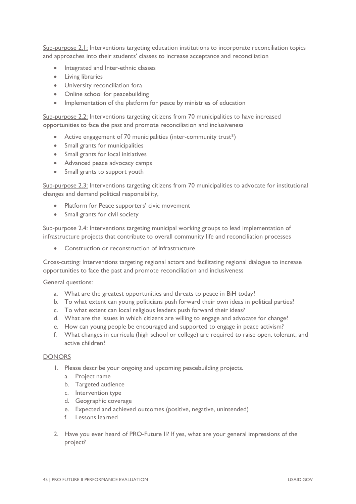Sub-purpose 2.1: Interventions targeting education institutions to incorporate reconciliation topics and approaches into their students' classes to increase acceptance and reconciliation

- Integrated and Inter-ethnic classes
- Living libraries
- University reconciliation fora
- Online school for peacebuilding
- Implementation of the platform for peace by ministries of education

Sub-purpose 2.2: Interventions targeting citizens from 70 municipalities to have increased opportunities to face the past and promote reconciliation and inclusiveness

- Active engagement of 70 municipalities (inter-community trust\*)
- Small grants for municipalities
- Small grants for local initiatives
- Advanced peace advocacy camps
- Small grants to support youth

Sub-purpose 2.3: Interventions targeting citizens from 70 municipalities to advocate for institutional changes and demand political responsibility,

- Platform for Peace supporters' civic movement
- Small grants for civil society

Sub-purpose 2.4: Interventions targeting municipal working groups to lead implementation of infrastructure projects that contribute to overall community life and reconciliation processes

• Construction or reconstruction of infrastructure

Cross-cutting: Interventions targeting regional actors and facilitating regional dialogue to increase opportunities to face the past and promote reconciliation and inclusiveness

### General questions:

- a. What are the greatest opportunities and threats to peace in BiH today?
- b. To what extent can young politicians push forward their own ideas in political parties?
- c. To what extent can local religious leaders push forward their ideas?
- d. What are the issues in which citizens are willing to engage and advocate for change?
- e. How can young people be encouraged and supported to engage in peace activism?
- f. What changes in curricula (high school or college) are required to raise open, tolerant, and active children?

#### DONORS

- 1. Please describe your ongoing and upcoming peacebuilding projects.
	- a. Project name
	- b. Targeted audience
	- c. Intervention type
	- d. Geographic coverage
	- e. Expected and achieved outcomes (positive, negative, unintended)
	- f. Lessons learned
- 2. Have you ever heard of PRO-Future II? If yes, what are your general impressions of the project?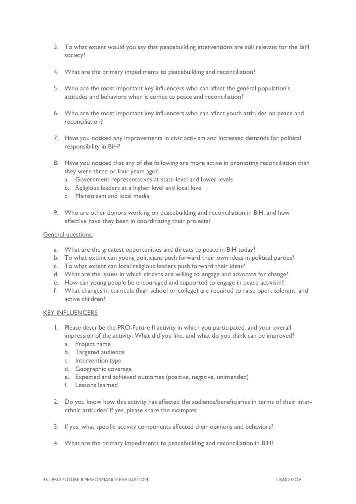- 3. To what extent would you say that peacebuilding interventions are still relevant for the BiH society?
- 4. What are the primary impediments to peacebuilding and reconciliation?
- 5. Who are the most important key influencers who can affect the general population's attitudes and behaviors when it comes to peace and reconciliation?
- 6. Who are the most important key influencers who can affect youth attitudes on peace and reconciliation?
- 7. Have you noticed any improvements in civic activism and increased demands for political responsibility in BiH?
- 8. Have you noticed that any of the following are more active in promoting reconciliation than they were three or four years ago?
	- a. Government representatives at state-level and lower levels
	- b. Religious leaders at a higher level and local level
	- c. Mainstream and local media
- 9. Who are other donors working on peacebuilding and reconciliation in BiH, and how effective have they been in coordinating their projects?

### General questions:

- a. What are the greatest opportunities and threats to peace in BiH today?
- b. To what extent can young politicians push forward their own ideas in political parties?
- c. To what extent can local religious leaders push forward their ideas?
- d. What are the issues in which citizens are willing to engage and advocate for change?
- e. How can young people be encouraged and supported to engage in peace activism?
- f. What changes in curricula (high school or college) are required to raise open, tolerant, and active children?

### KEY INFLUENCERS

- 1. Please describe the PRO-Future II activity in which you participated, and your overall impression of the activity. What did you like, and what do you think can be improved?
	- a. Project name
	- b. Targeted audience
	- c. Intervention type
	- d. Geographic coverage
	- e. Expected and achieved outcomes (positive, negative, unintended)
	- f. Lessons learned
- 2. Do you know how this activity has affected the audience/beneficiaries in terms of their interethnic attitudes? If yes, please share the examples.
- 3. If yes, what specific activity components affected their opinions and behaviors?
- 4. What are the primary impediments to peacebuilding and reconciliation in BiH?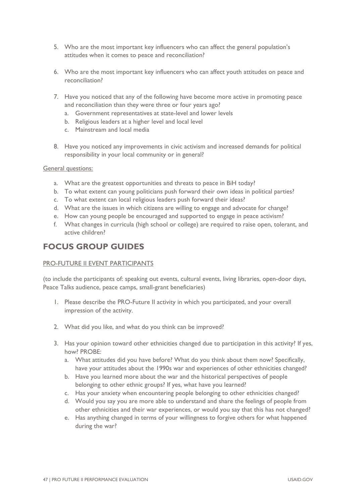- 5. Who are the most important key influencers who can affect the general population's attitudes when it comes to peace and reconciliation?
- 6. Who are the most important key influencers who can affect youth attitudes on peace and reconciliation?
- 7. Have you noticed that any of the following have become more active in promoting peace and reconciliation than they were three or four years ago?
	- a. Government representatives at state-level and lower levels
	- b. Religious leaders at a higher level and local level
	- c. Mainstream and local media
- 8. Have you noticed any improvements in civic activism and increased demands for political responsibility in your local community or in general?

General questions:

- a. What are the greatest opportunities and threats to peace in BiH today?
- b. To what extent can young politicians push forward their own ideas in political parties?
- c. To what extent can local religious leaders push forward their ideas?
- d. What are the issues in which citizens are willing to engage and advocate for change?
- e. How can young people be encouraged and supported to engage in peace activism?
- f. What changes in curricula (high school or college) are required to raise open, tolerant, and active children?

# **FOCUS GROUP GUIDES**

### PRO-FUTURE II EVENT PARTICIPANTS

(to include the participants of: speaking out events, cultural events, living libraries, open-door days, Peace Talks audience, peace camps, small-grant beneficiaries)

- 1. Please describe the PRO-Future II activity in which you participated, and your overall impression of the activity.
- 2. What did you like, and what do you think can be improved?
- 3. Has your opinion toward other ethnicities changed due to participation in this activity? If yes, how? PROBE:
	- a. What attitudes did you have before? What do you think about them now? Specifically, have your attitudes about the 1990s war and experiences of other ethnicities changed?
	- b. Have you learned more about the war and the historical perspectives of people belonging to other ethnic groups? If yes, what have you learned?
	- c. Has your anxiety when encountering people belonging to other ethnicities changed?
	- d. Would you say you are more able to understand and share the feelings of people from other ethnicities and their war experiences, or would you say that this has not changed?
	- e. Has anything changed in terms of your willingness to forgive others for what happened during the war?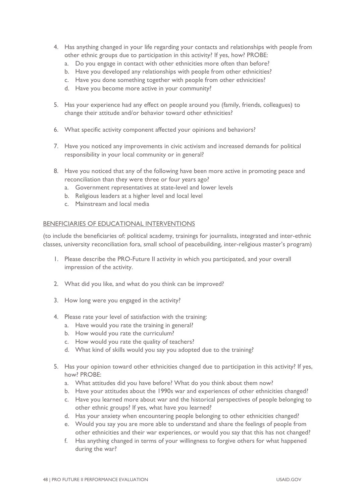- 4. Has anything changed in your life regarding your contacts and relationships with people from other ethnic groups due to participation in this activity? If yes, how? PROBE:
	- a. Do you engage in contact with other ethnicities more often than before?
	- b. Have you developed any relationships with people from other ethnicities?
	- c. Have you done something together with people from other ethnicities?
	- d. Have you become more active in your community?
- 5. Has your experience had any effect on people around you (family, friends, colleagues) to change their attitude and/or behavior toward other ethnicities?
- 6. What specific activity component affected your opinions and behaviors?
- 7. Have you noticed any improvements in civic activism and increased demands for political responsibility in your local community or in general?
- 8. Have you noticed that any of the following have been more active in promoting peace and reconciliation than they were three or four years ago?
	- a. Government representatives at state-level and lower levels
	- b. Religious leaders at a higher level and local level
	- c. Mainstream and local media

### BENEFICIARIES OF EDUCATIONAL INTERVENTIONS

(to include the beneficiaries of: political academy, trainings for journalists, integrated and inter-ethnic classes, university reconciliation fora, small school of peacebuilding, inter-religious master's program)

- 1. Please describe the PRO-Future II activity in which you participated, and your overall impression of the activity.
- 2. What did you like, and what do you think can be improved?
- 3. How long were you engaged in the activity?
- 4. Please rate your level of satisfaction with the training:
	- a. Have would you rate the training in general?
	- b. How would you rate the curriculum?
	- c. How would you rate the quality of teachers?
	- d. What kind of skills would you say you adopted due to the training?
- 5. Has your opinion toward other ethnicities changed due to participation in this activity? If yes, how? PROBE:
	- a. What attitudes did you have before? What do you think about them now?
	- b. Have your attitudes about the 1990s war and experiences of other ethnicities changed?
	- c. Have you learned more about war and the historical perspectives of people belonging to other ethnic groups? If yes, what have you learned?
	- d. Has your anxiety when encountering people belonging to other ethnicities changed?
	- e. Would you say you are more able to understand and share the feelings of people from other ethnicities and their war experiences, or would you say that this has not changed?
	- f. Has anything changed in terms of your willingness to forgive others for what happened during the war?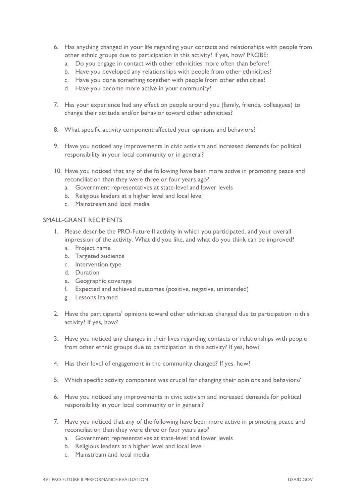- 6. Has anything changed in your life regarding your contacts and relationships with people from other ethnic groups due to participation in this activity? If yes, how? PROBE:
	- a. Do you engage in contact with other ethnicities more often than before?
	- b. Have you developed any relationships with people from other ethnicities?
	- c. Have you done something together with people from other ethnicities?
	- d. Have you become more active in your community?
- 7. Has your experience had any effect on people around you (family, friends, colleagues) to change their attitude and/or behavior toward other ethnicities?
- 8. What specific activity component affected your opinions and behaviors?
- 9. Have you noticed any improvements in civic activism and increased demands for political responsibility in your local community or in general?
- 10. Have you noticed that any of the following have been more active in promoting peace and reconciliation than they were three or four years ago?
	- a. Government representatives at state-level and lower levels
	- b. Religious leaders at a higher level and local level
	- c. Mainstream and local media

### SMALL-GRANT RECIPIENTS

- 1. Please describe the PRO-Future II activity in which you participated, and your overall impression of the activity. What did you like, and what do you think can be improved?
	- a. Project name
	- b. Targeted audience
	- c. Intervention type
	- d. Duration
	- e. Geographic coverage
	- f. Expected and achieved outcomes (positive, negative, unintended)
	- g. Lessons learned
- 2. Have the participants' opinions toward other ethnicities changed due to participation in this activity? If yes, how?
- 3. Have you noticed any changes in their lives regarding contacts or relationships with people from other ethnic groups due to participation in this activity? If yes, how?
- 4. Has their level of engagement in the community changed? If yes, how?
- 5. Which specific activity component was crucial for changing their opinions and behaviors?
- 6. Have you noticed any improvements in civic activism and increased demands for political responsibility in your local community or in general?
- 7. Have you noticed that any of the following have been more active in promoting peace and reconciliation than they were three or four years ago?
	- a. Government representatives at state-level and lower levels
	- b. Religious leaders at a higher level and local level
	- c. Mainstream and local media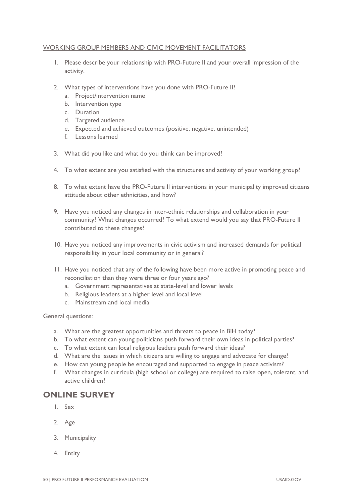### WORKING GROUP MEMBERS AND CIVIC MOVEMENT FACILITATORS

- 1. Please describe your relationship with PRO-Future II and your overall impression of the activity.
- 2. What types of interventions have you done with PRO-Future II?
	- a. Project/intervention name
	- b. Intervention type
	- c. Duration
	- d. Targeted audience
	- e. Expected and achieved outcomes (positive, negative, unintended)
	- f. Lessons learned
- 3. What did you like and what do you think can be improved?
- 4. To what extent are you satisfied with the structures and activity of your working group?
- 8. To what extent have the PRO-Future II interventions in your municipality improved citizens attitude about other ethnicities, and how?
- 9. Have you noticed any changes in inter-ethnic relationships and collaboration in your community? What changes occurred? To what extend would you say that PRO-Future II contributed to these changes?
- 10. Have you noticed any improvements in civic activism and increased demands for political responsibility in your local community or in general?
- 11. Have you noticed that any of the following have been more active in promoting peace and reconciliation than they were three or four years ago?
	- a. Government representatives at state-level and lower levels
	- b. Religious leaders at a higher level and local level
	- c. Mainstream and local media

### General questions:

- a. What are the greatest opportunities and threats to peace in BiH today?
- b. To what extent can young politicians push forward their own ideas in political parties?
- c. To what extent can local religious leaders push forward their ideas?
- d. What are the issues in which citizens are willing to engage and advocate for change?
- e. How can young people be encouraged and supported to engage in peace activism?
- f. What changes in curricula (high school or college) are required to raise open, tolerant, and active children?

# **ONLINE SURVEY**

- 1. Sex
- 2. Age
- 3. Municipality
- 4. Entity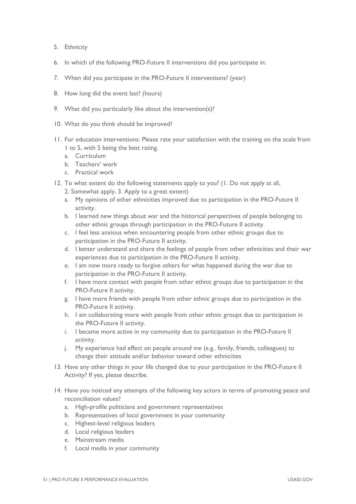- 5. Ethnicity
- 6. In which of the following PRO-Future II interventions did you participate in:
- 7. When did you participate in the PRO-Future II interventions? (year)
- 8. How long did the event last? (hours)
- 9. What did you particularly like about the intervention(s)?
- 10. What do you think should be improved?
- 11. For education interventions: Please rate your satisfaction with the training on the scale from 1 to 5, with 5 being the best rating.
	- a. Curriculum
	- b. Teachers' work
	- c. Practical work
- 12. To what extent do the following statements apply to you? (1. Do not apply at all,
	- 2. Somewhat apply, 3. Apply to a great extent)
	- a. My opinions of other ethnicities improved due to participation in the PRO-Future II activity.
	- b. I learned new things about war and the historical perspectives of people belonging to other ethnic groups through participation in the PRO-Future II activity.
	- c. I feel less anxious when encountering people from other ethnic groups due to participation in the PRO-Future II activity.
	- d. I better understand and share the feelings of people from other ethnicities and their war experiences due to participation in the PRO-Future II activity.
	- e. I am now more ready to forgive others for what happened during the war due to participation in the PRO-Future II activity.
	- f. I have more contact with people from other ethnic groups due to participation in the PRO-Future II activity.
	- g. I have more friends with people from other ethnic groups due to participation in the PRO-Future II activity.
	- h. I am collaborating more with people from other ethnic groups due to participation in the PRO-Future II activity.
	- i. I became more active in my community due to participation in the PRO-Future II activity.
	- j. My experience had effect on people around me (e.g.. family, friends, colleagues) to change their attitude and/or behavior toward other ethnicities
- 13. Have any other things in your life changed due to your participation in the PRO-Future II Activity? If yes, please describe.
- 14. Have you noticed any attempts of the following key actors in terms of promoting peace and reconciliation values?
	- a. High-profile politicians and government representatives
	- b. Representatives of local government in your community
	- c. Highest-level religious leaders
	- d. Local religious leaders
	- e. Mainstream media
	- f. Local media in your community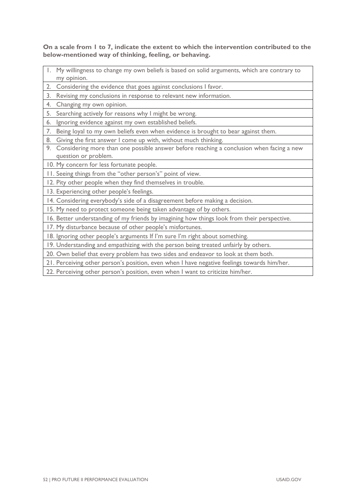**On a scale from 1 to 7, indicate the extent to which the intervention contributed to the below-mentioned way of thinking, feeling, or behaving.** 

- 1. My willingness to change my own beliefs is based on solid arguments, which are contrary to my opinion.
- 2. Considering the evidence that goes against conclusions I favor.
- 3. Revising my conclusions in response to relevant new information.
- 4. Changing my own opinion.
- 5. Searching actively for reasons why I might be wrong.
- 6. Ignoring evidence against my own established beliefs.
- 7. Being loyal to my own beliefs even when evidence is brought to bear against them.
- 8. Giving the first answer I come up with, without much thinking.
- 9. Considering more than one possible answer before reaching a conclusion when facing a new question or problem.
- 10. My concern for less fortunate people.
- 11. Seeing things from the "other person's" point of view.
- 12. Pity other people when they find themselves in trouble.
- 13. Experiencing other people's feelings.
- 14. Considering everybody's side of a disagreement before making a decision.
- 15. My need to protect someone being taken advantage of by others.
- 16. Better understanding of my friends by imagining how things look from their perspective.
- 17. My disturbance because of other people's misfortunes.
- 18. Ignoring other people's arguments If I'm sure I'm right about something.
- 19. Understanding and empathizing with the person being treated unfairly by others.
- 20. Own belief that every problem has two sides and endeavor to look at them both.
- 21. Perceiving other person's position, even when I have negative feelings towards him/her.
- 22. Perceiving other person's position, even when I want to criticize him/her.